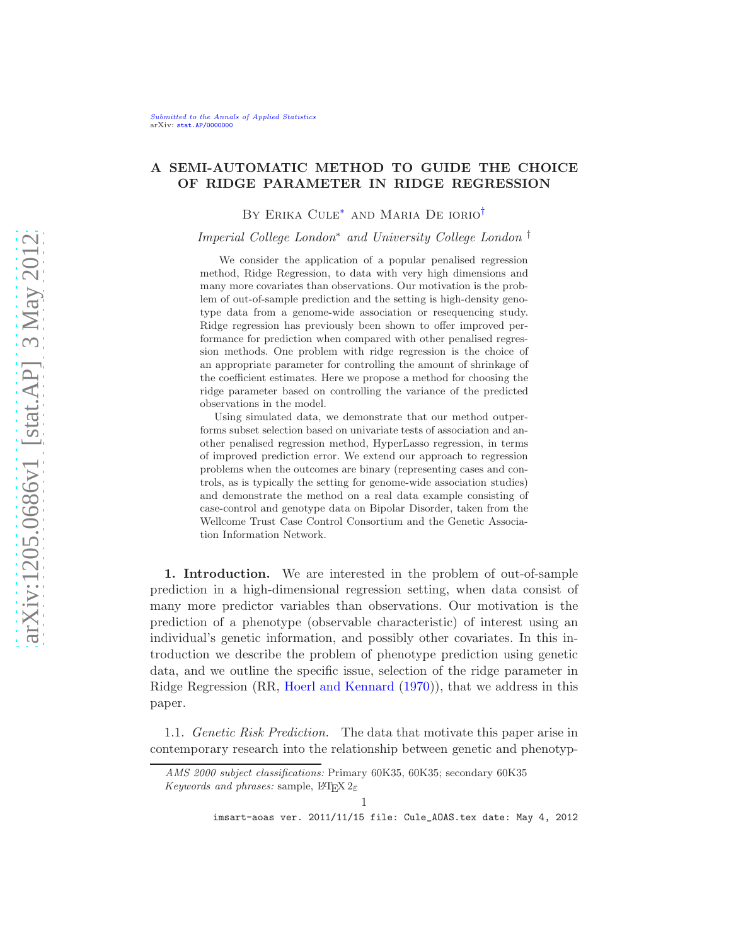## A SEMI-AUTOMATIC METHOD TO GUIDE THE CHOICE OF RIDGE PARAMETER IN RIDGE REGRESSION

<span id="page-0-1"></span><span id="page-0-0"></span>By Erika Cule[∗](#page-0-0) and Maria De iorio[†](#page-0-1)

*Imperial College London*<sup>∗</sup> *and University College London* †

We consider the application of a popular penalised regression method, Ridge Regression, to data with very high dimensions and many more covariates than observations. Our motivation is the problem of out-of-sample prediction and the setting is high-density genotype data from a genome-wide association or resequencing study. Ridge regression has previously been shown to offer improved performance for prediction when compared with other penalised regression methods. One problem with ridge regression is the choice of an appropriate parameter for controlling the amount of shrinkage of the coefficient estimates. Here we propose a method for choosing the ridge parameter based on controlling the variance of the predicted observations in the model.

Using simulated data, we demonstrate that our method outperforms subset selection based on univariate tests of association and another penalised regression method, HyperLasso regression, in terms of improved prediction error. We extend our approach to regression problems when the outcomes are binary (representing cases and controls, as is typically the setting for genome-wide association studies) and demonstrate the method on a real data example consisting of case-control and genotype data on Bipolar Disorder, taken from the Wellcome Trust Case Control Consortium and the Genetic Association Information Network.

1. Introduction. We are interested in the problem of out-of-sample prediction in a high-dimensional regression setting, when data consist of many more predictor variables than observations. Our motivation is the prediction of a phenotype (observable characteristic) of interest using an individual's genetic information, and possibly other covariates. In this introduction we describe the problem of phenotype prediction using genetic data, and we outline the specific issue, selection of the ridge parameter in Ridge Regression (RR, [Hoerl and Kennard](#page-29-0) [\(1970](#page-29-0))), that we address in this paper.

1.1. *Genetic Risk Prediction.* The data that motivate this paper arise in contemporary research into the relationship between genetic and phenotyp-

AMS 2000 subject classifications: Primary 60K35, 60K35; secondary 60K35 Keywords and phrases: sample,  $\angle$ FIFX  $2\varepsilon$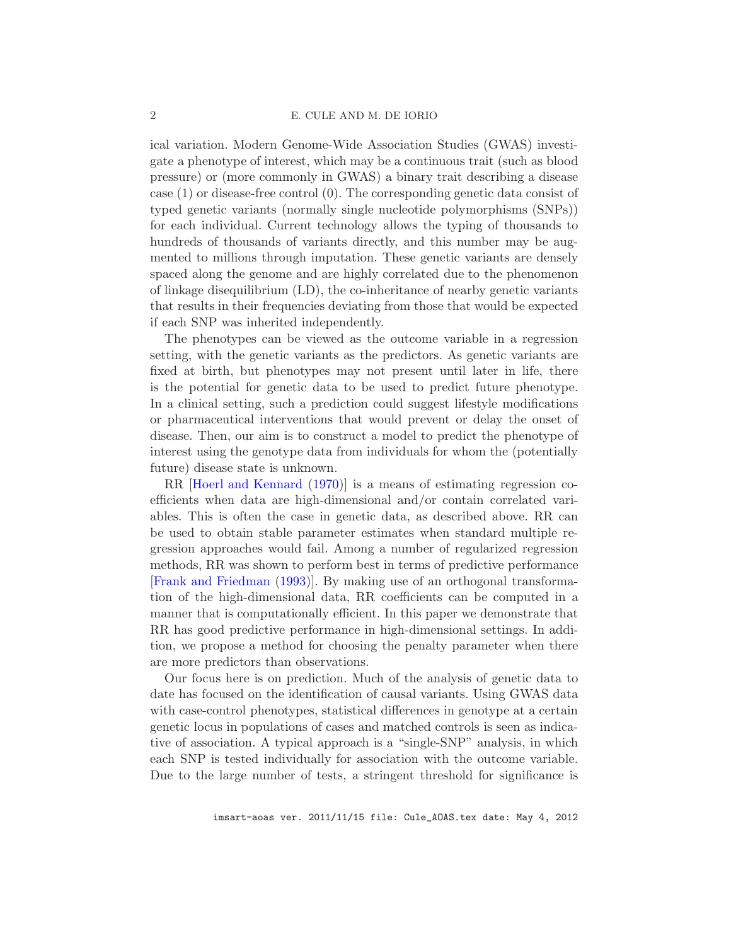### 2 E. CULE AND M. DE IORIO

ical variation. Modern Genome-Wide Association Studies (GWAS) investigate a phenotype of interest, which may be a continuous trait (such as blood pressure) or (more commonly in GWAS) a binary trait describing a disease case (1) or disease-free control (0). The corresponding genetic data consist of typed genetic variants (normally single nucleotide polymorphisms (SNPs)) for each individual. Current technology allows the typing of thousands to hundreds of thousands of variants directly, and this number may be augmented to millions through imputation. These genetic variants are densely spaced along the genome and are highly correlated due to the phenomenon of linkage disequilibrium (LD), the co-inheritance of nearby genetic variants that results in their frequencies deviating from those that would be expected if each SNP was inherited independently.

The phenotypes can be viewed as the outcome variable in a regression setting, with the genetic variants as the predictors. As genetic variants are fixed at birth, but phenotypes may not present until later in life, there is the potential for genetic data to be used to predict future phenotype. In a clinical setting, such a prediction could suggest lifestyle modifications or pharmaceutical interventions that would prevent or delay the onset of disease. Then, our aim is to construct a model to predict the phenotype of interest using the genotype data from individuals for whom the (potentially future) disease state is unknown.

RR [\[Hoerl and Kennard](#page-29-0) [\(1970](#page-29-0))] is a means of estimating regression coefficients when data are high-dimensional and/or contain correlated variables. This is often the case in genetic data, as described above. RR can be used to obtain stable parameter estimates when standard multiple regression approaches would fail. Among a number of regularized regression methods, RR was shown to perform best in terms of predictive performance [\[Frank and Friedman](#page-29-1) [\(1993](#page-29-1))]. By making use of an orthogonal transformation of the high-dimensional data, RR coefficients can be computed in a manner that is computationally efficient. In this paper we demonstrate that RR has good predictive performance in high-dimensional settings. In addition, we propose a method for choosing the penalty parameter when there are more predictors than observations.

Our focus here is on prediction. Much of the analysis of genetic data to date has focused on the identification of causal variants. Using GWAS data with case-control phenotypes, statistical differences in genotype at a certain genetic locus in populations of cases and matched controls is seen as indicative of association. A typical approach is a "single-SNP" analysis, in which each SNP is tested individually for association with the outcome variable. Due to the large number of tests, a stringent threshold for significance is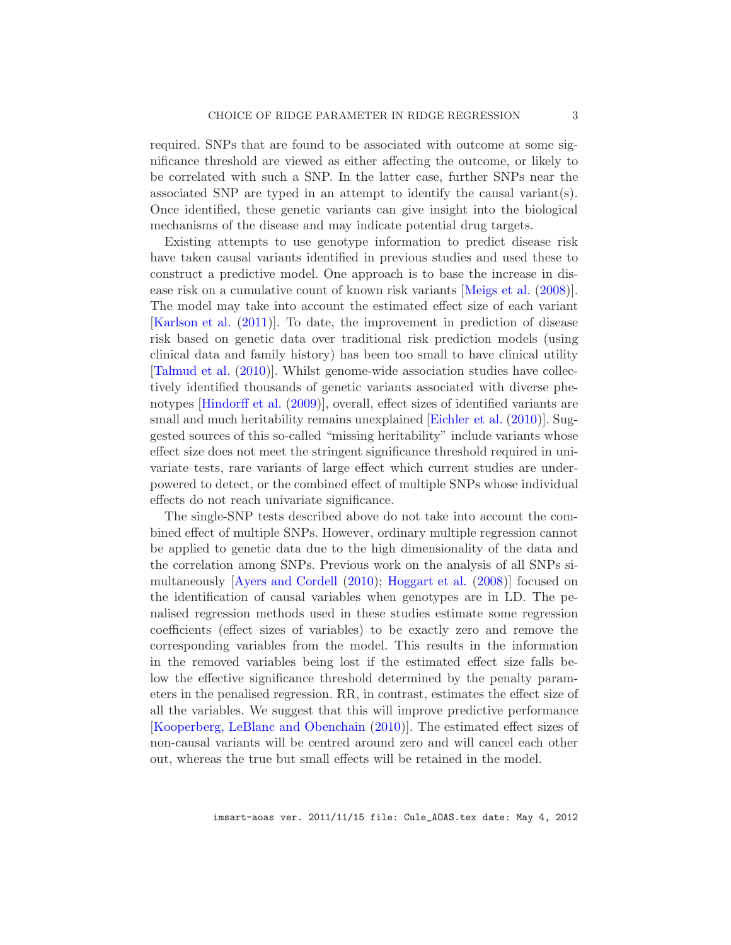required. SNPs that are found to be associated with outcome at some significance threshold are viewed as either affecting the outcome, or likely to be correlated with such a SNP. In the latter case, further SNPs near the associated SNP are typed in an attempt to identify the causal variant(s). Once identified, these genetic variants can give insight into the biological mechanisms of the disease and may indicate potential drug targets.

Existing attempts to use genotype information to predict disease risk have taken causal variants identified in previous studies and used these to construct a predictive model. One approach is to base the increase in disease risk on a cumulative count of known risk variants [\[Meigs et al.](#page-30-0) [\(2008](#page-30-0))]. The model may take into account the estimated effect size of each variant [\[Karlson et al.](#page-30-1) [\(2011](#page-30-1))]. To date, the improvement in prediction of disease risk based on genetic data over traditional risk prediction models (using clinical data and family history) has been too small to have clinical utility [\[Talmud et al.](#page-30-2) [\(2010\)](#page-30-2)]. Whilst genome-wide association studies have collectively identified thousands of genetic variants associated with diverse phenotypes [\[Hindorff et al.](#page-29-2) [\(2009](#page-29-2))], overall, effect sizes of identified variants are small and much heritability remains unexplained [\[Eichler et al.](#page-29-3)  $(2010)$  $(2010)$ ]. Suggested sources of this so-called "missing heritability" include variants whose effect size does not meet the stringent significance threshold required in univariate tests, rare variants of large effect which current studies are underpowered to detect, or the combined effect of multiple SNPs whose individual effects do not reach univariate significance.

<span id="page-2-0"></span>The single-SNP tests described above do not take into account the combined effect of multiple SNPs. However, ordinary multiple regression cannot be applied to genetic data due to the high dimensionality of the data and the correlation among SNPs. Previous work on the analysis of all SNPs simultaneously [\[Ayers and Cordell](#page-29-4) [\(2010](#page-29-4)); [Hoggart et al.](#page-30-3) [\(2008](#page-30-3))] focused on the identification of causal variables when genotypes are in LD. The penalised regression methods used in these studies estimate some regression coefficients (effect sizes of variables) to be exactly zero and remove the corresponding variables from the model. This results in the information in the removed variables being lost if the estimated effect size falls below the effective significance threshold determined by the penalty parameters in the penalised regression. RR, in contrast, estimates the effect size of all the variables. We suggest that this will improve predictive performance [\[Kooperberg, LeBlanc and Obenchain](#page-30-4) [\(2010\)](#page-30-4)]. The estimated effect sizes of non-causal variants will be centred around zero and will cancel each other out, whereas the true but small effects will be retained in the model.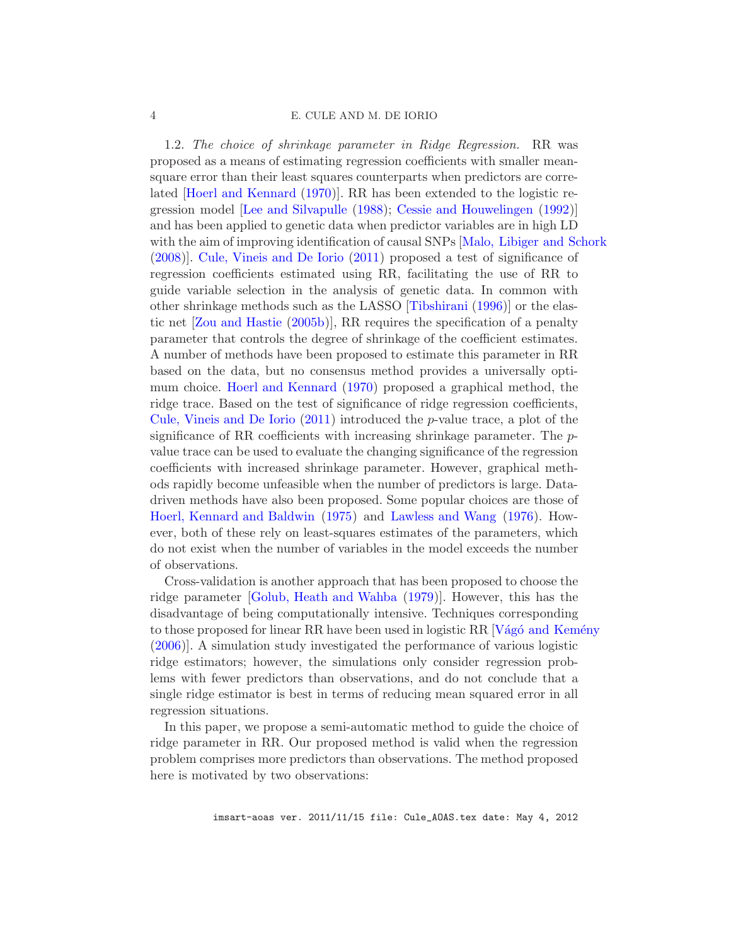#### 4 E. CULE AND M. DE IORIO

1.2. *The choice of shrinkage parameter in Ridge Regression.* RR was proposed as a means of estimating regression coefficients with smaller meansquare error than their least squares counterparts when predictors are correlated [\[Hoerl and Kennard](#page-29-0) [\(1970\)](#page-29-0)]. RR has been extended to the logistic regression model [\[Lee and Silvapulle](#page-30-5) [\(1988](#page-30-5)); [Cessie and Houwelingen](#page-29-5) [\(1992](#page-29-5))] and has been applied to genetic data when predictor variables are in high LD with the aim of improving identification of causal SNPs [\[Malo, Libiger and Schork](#page-30-6) [\(2008\)](#page-30-6)]. [Cule, Vineis and De Iorio](#page-29-6) [\(2011](#page-29-6)) proposed a test of significance of regression coefficients estimated using RR, facilitating the use of RR to guide variable selection in the analysis of genetic data. In common with other shrinkage methods such as the LASSO [\[Tibshirani](#page-31-0) [\(1996](#page-31-0))] or the elastic net [\[Zou and Hastie](#page-31-1) [\(2005b](#page-31-1))], RR requires the specification of a penalty parameter that controls the degree of shrinkage of the coefficient estimates. A number of methods have been proposed to estimate this parameter in RR based on the data, but no consensus method provides a universally optimum choice. [Hoerl and Kennard](#page-29-0) [\(1970](#page-29-0)) proposed a graphical method, the ridge trace. Based on the test of significance of ridge regression coefficients, [Cule, Vineis and De Iorio](#page-29-6) [\(2011](#page-29-6)) introduced the p-value trace, a plot of the significance of RR coefficients with increasing shrinkage parameter. The pvalue trace can be used to evaluate the changing significance of the regression coefficients with increased shrinkage parameter. However, graphical methods rapidly become unfeasible when the number of predictors is large. Datadriven methods have also been proposed. Some popular choices are those of [Hoerl, Kennard and Baldwin](#page-29-7) [\(1975](#page-29-7)) and [Lawless and Wang](#page-30-7) [\(1976](#page-30-7)). However, both of these rely on least-squares estimates of the parameters, which do not exist when the number of variables in the model exceeds the number of observations.

Cross-validation is another approach that has been proposed to choose the ridge parameter [\[Golub, Heath and Wahba](#page-29-8) [\(1979](#page-29-8))]. However, this has the disadvantage of being computationally intensive. Techniques corresponding to those proposed for linear RR have been used in logistic RR  $\acute{N}$  (Vágó and Kemény [\(2006\)](#page-31-2)]. A simulation study investigated the performance of various logistic ridge estimators; however, the simulations only consider regression problems with fewer predictors than observations, and do not conclude that a single ridge estimator is best in terms of reducing mean squared error in all regression situations.

In this paper, we propose a semi-automatic method to guide the choice of ridge parameter in RR. Our proposed method is valid when the regression problem comprises more predictors than observations. The method proposed here is motivated by two observations: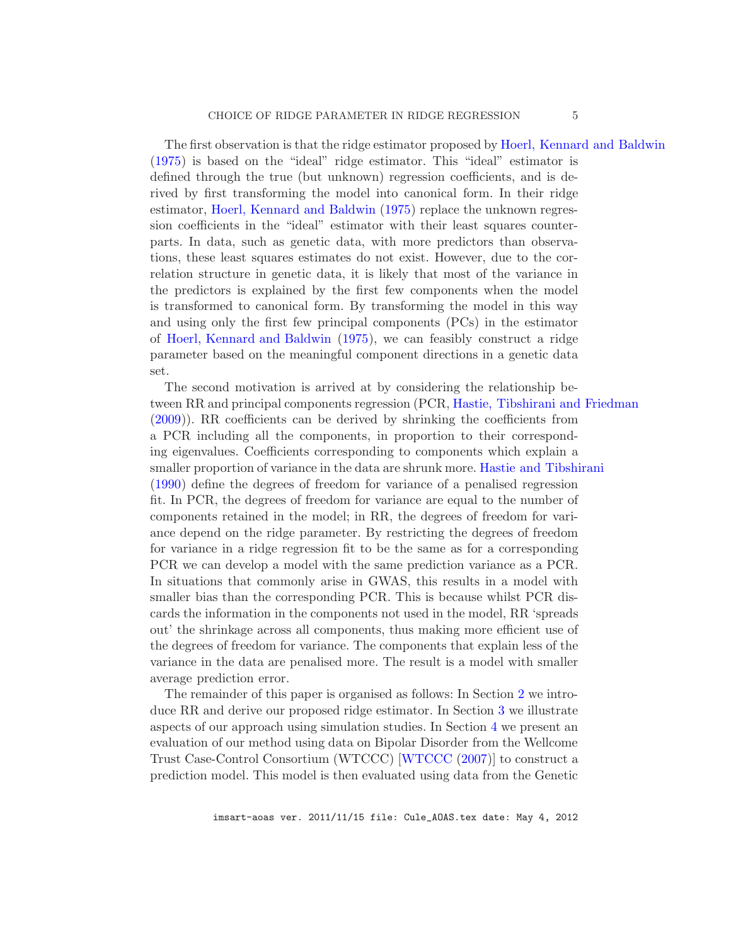The first observation is that the ridge estimator proposed by [Hoerl, Kennard and Baldwin](#page-29-7) [\(1975\)](#page-29-7) is based on the "ideal" ridge estimator. This "ideal" estimator is defined through the true (but unknown) regression coefficients, and is derived by first transforming the model into canonical form. In their ridge estimator, [Hoerl, Kennard and Baldwin](#page-29-7) [\(1975](#page-29-7)) replace the unknown regression coefficients in the "ideal" estimator with their least squares counterparts. In data, such as genetic data, with more predictors than observations, these least squares estimates do not exist. However, due to the correlation structure in genetic data, it is likely that most of the variance in the predictors is explained by the first few components when the model is transformed to canonical form. By transforming the model in this way and using only the first few principal components (PCs) in the estimator of [Hoerl, Kennard and Baldwin](#page-29-7) [\(1975\)](#page-29-7), we can feasibly construct a ridge parameter based on the meaningful component directions in a genetic data set.

The second motivation is arrived at by considering the relationship between RR and principal components regression (PCR, [Hastie, Tibshirani and Friedman](#page-29-9) [\(2009\)](#page-29-9)). RR coefficients can be derived by shrinking the coefficients from a PCR including all the components, in proportion to their corresponding eigenvalues. Coefficients corresponding to components which explain a smaller proportion of variance in the data are shrunk more. [Hastie and Tibshirani](#page-29-10) [\(1990\)](#page-29-10) define the degrees of freedom for variance of a penalised regression fit. In PCR, the degrees of freedom for variance are equal to the number of components retained in the model; in RR, the degrees of freedom for variance depend on the ridge parameter. By restricting the degrees of freedom for variance in a ridge regression fit to be the same as for a corresponding PCR we can develop a model with the same prediction variance as a PCR. In situations that commonly arise in GWAS, this results in a model with smaller bias than the corresponding PCR. This is because whilst PCR discards the information in the components not used in the model, RR 'spreads out' the shrinkage across all components, thus making more efficient use of the degrees of freedom for variance. The components that explain less of the variance in the data are penalised more. The result is a model with smaller average prediction error.

The remainder of this paper is organised as follows: In Section [2](#page-5-0) we introduce RR and derive our proposed ridge estimator. In Section [3](#page-13-0) we illustrate aspects of our approach using simulation studies. In Section [4](#page-16-0) we present an evaluation of our method using data on Bipolar Disorder from the Wellcome Trust Case-Control Consortium (WTCCC) [\[WTCCC](#page-31-3) [\(2007](#page-31-3))] to construct a prediction model. This model is then evaluated using data from the Genetic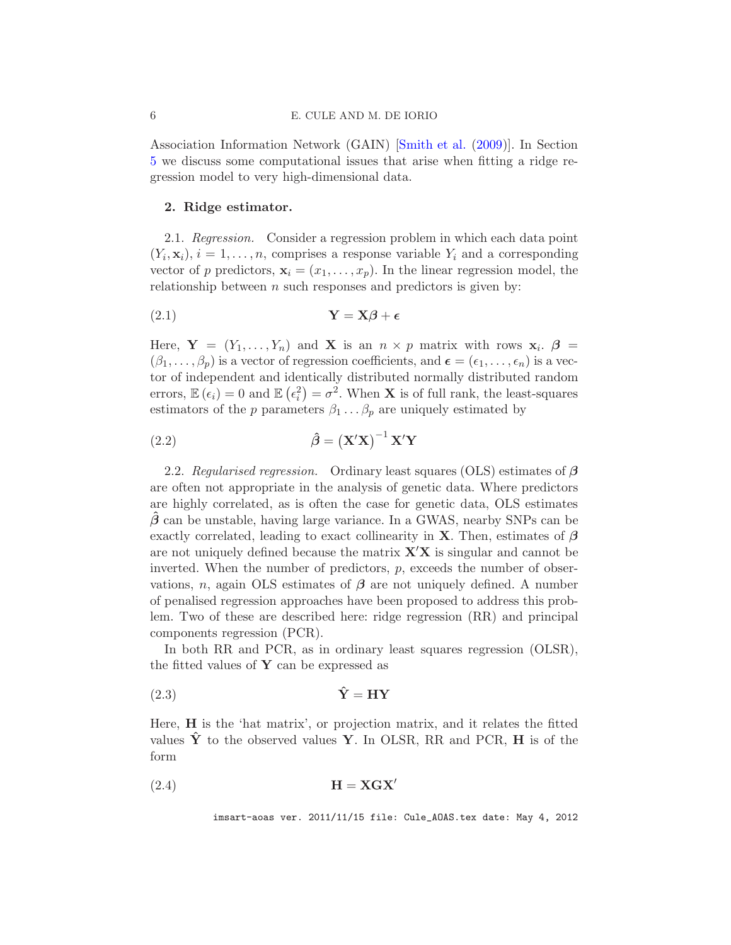### 6 E. CULE AND M. DE IORIO

Association Information Network (GAIN) [\[Smith et al.](#page-30-8) [\(2009](#page-30-8))]. In Section [5](#page-18-0) we discuss some computational issues that arise when fitting a ridge regression model to very high-dimensional data.

### <span id="page-5-0"></span>2. Ridge estimator.

2.1. *Regression.* Consider a regression problem in which each data point  $(Y_i, \mathbf{x}_i), i = 1, \ldots, n$ , comprises a response variable  $Y_i$  and a corresponding vector of p predictors,  $\mathbf{x}_i = (x_1, \ldots, x_p)$ . In the linear regression model, the relationship between  $n$  such responses and predictors is given by:

<span id="page-5-2"></span>
$$
Y = X\beta + \epsilon
$$

Here,  $\mathbf{Y} = (Y_1, \ldots, Y_n)$  and **X** is an  $n \times p$  matrix with rows  $\mathbf{x}_i$ .  $\boldsymbol{\beta} =$  $(\beta_1,\ldots,\beta_n)$  is a vector of regression coefficients, and  $\boldsymbol{\epsilon}=(\epsilon_1,\ldots,\epsilon_n)$  is a vector of independent and identically distributed normally distributed random errors,  $\mathbb{E}(\epsilon_i) = 0$  and  $\mathbb{E}(\epsilon_i^2) = \sigma^2$ . When **X** is of full rank, the least-squares estimators of the p parameters  $\beta_1 \dots \beta_p$  are uniquely estimated by

<span id="page-5-1"></span>(2.2) 
$$
\hat{\boldsymbol{\beta}} = (\mathbf{X}'\mathbf{X})^{-1}\mathbf{X}'\mathbf{Y}
$$

2.2. *Regularised regression.* Ordinary least squares (OLS) estimates of β are often not appropriate in the analysis of genetic data. Where predictors are highly correlated, as is often the case for genetic data, OLS estimates  $\beta$  can be unstable, having large variance. In a GWAS, nearby SNPs can be exactly correlated, leading to exact collinearity in **X**. Then, estimates of  $\beta$ are not uniquely defined because the matrix  $X'X$  is singular and cannot be inverted. When the number of predictors,  $p$ , exceeds the number of observations, n, again OLS estimates of  $\beta$  are not uniquely defined. A number of penalised regression approaches have been proposed to address this problem. Two of these are described here: ridge regression (RR) and principal components regression (PCR).

In both RR and PCR, as in ordinary least squares regression (OLSR), the fitted values of  $\bf{Y}$  can be expressed as

<span id="page-5-3"></span>
$$
\hat{\mathbf{Y}} = \mathbf{H}\mathbf{Y}
$$

Here, H is the 'hat matrix', or projection matrix, and it relates the fitted values  $\hat{Y}$  to the observed values Y. In OLSR, RR and PCR, H is of the form

(2.4) H = XGX′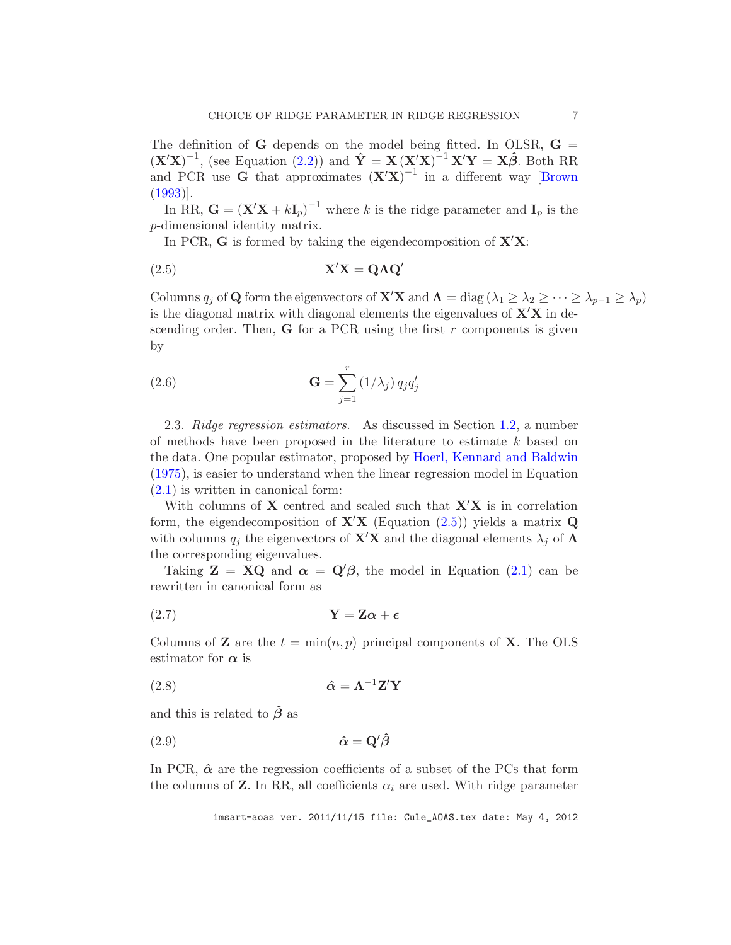The definition of  $G$  depends on the model being fitted. In OLSR,  $G =$  $(\mathbf{X}'\mathbf{X})^{-1}$ , (see Equation [\(2.2\)](#page-5-1)) and  $\hat{\mathbf{Y}} = \mathbf{X} (\mathbf{X}'\mathbf{X})^{-1} \mathbf{X}'\mathbf{Y} = \mathbf{X}\hat{\boldsymbol{\beta}}$ . Both RR and PCR use **G** that approximates  $(X'X)^{-1}$  in a different way [\[Brown](#page-29-11)  $(1993)$ ].

In RR,  $\mathbf{G} = (\mathbf{X}'\mathbf{X} + k\mathbf{I}_p)^{-1}$  where k is the ridge parameter and  $\mathbf{I}_p$  is the p-dimensional identity matrix.

<span id="page-6-0"></span>In PCR,  $G$  is formed by taking the eigendecomposition of  $X'X$ :

$$
X'X = Q\Lambda Q'
$$

Columns  $q_j$  of Q form the eigenvectors of  $\mathbf{X}'\mathbf{X}$  and  $\mathbf{\Lambda} = \text{diag}(\lambda_1 \geq \lambda_2 \geq \cdots \geq \lambda_{p-1} \geq \lambda_p)$ is the diagonal matrix with diagonal elements the eigenvalues of  $X'X$  in descending order. Then,  $G$  for a PCR using the first  $r$  components is given by

(2.6) 
$$
\mathbf{G} = \sum_{j=1}^{r} (1/\lambda_j) q_j q'_j
$$

2.3. *Ridge regression estimators.* As discussed in Section [1.2,](#page-2-0) a number of methods have been proposed in the literature to estimate k based on the data. One popular estimator, proposed by [Hoerl, Kennard and Baldwin](#page-29-7) [\(1975\)](#page-29-7), is easier to understand when the linear regression model in Equation [\(2.1\)](#page-5-2) is written in canonical form:

With columns of  $X$  centred and scaled such that  $X'X$  is in correlation form, the eigendecomposition of  ${\bf X}'{\bf X}$  (Equation [\(2.5\)](#page-6-0)) yields a matrix Q with columns  $q_i$  the eigenvectors of **X'X** and the diagonal elements  $\lambda_i$  of  $\Lambda$ the corresponding eigenvalues.

Taking  $\mathbf{Z} = \mathbf{X} \mathbf{Q}$  and  $\alpha = \mathbf{Q}'\beta$ , the model in Equation [\(2.1\)](#page-5-2) can be rewritten in canonical form as

$$
(2.7) \t\t Y = Z\alpha + \epsilon
$$

Columns of **Z** are the  $t = \min(n, p)$  principal components of **X**. The OLS estimator for  $\alpha$  is

<span id="page-6-2"></span>
$$
\hat{\alpha} = \Lambda^{-1} \mathbf{Z}' \mathbf{Y}
$$

and this is related to  $\hat{\beta}$  as

<span id="page-6-1"></span>
$$
\hat{\alpha} = \mathbf{Q}'\hat{\beta}
$$

In PCR,  $\hat{\boldsymbol{\alpha}}$  are the regression coefficients of a subset of the PCs that form the columns of **Z**. In RR, all coefficients  $\alpha_i$  are used. With ridge parameter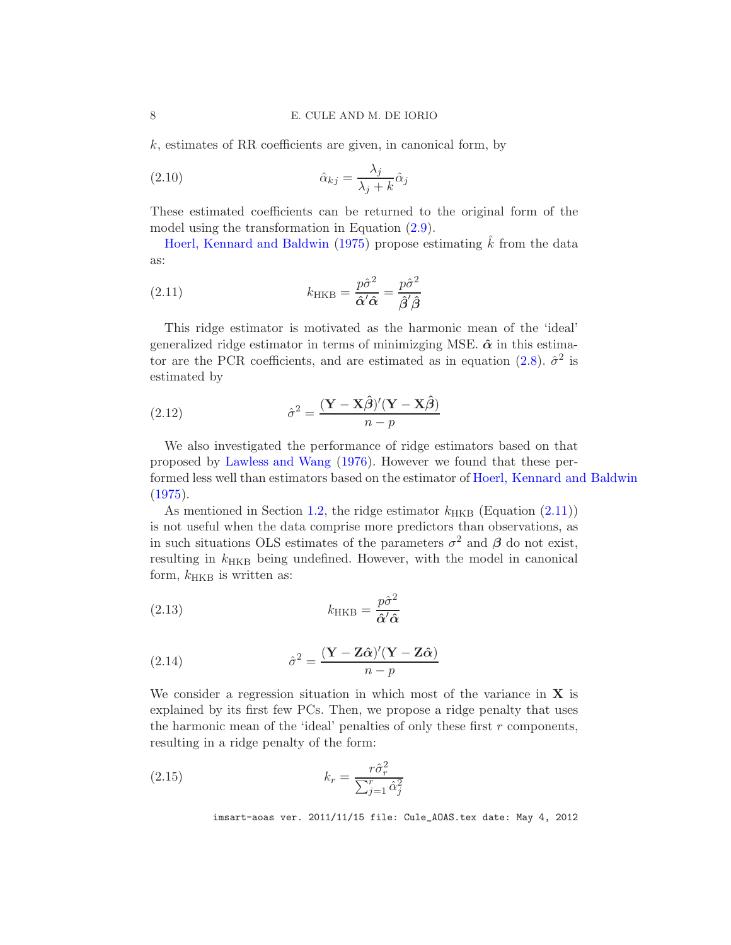$k$ , estimates of RR coefficients are given, in canonical form, by

<span id="page-7-4"></span>(2.10) 
$$
\hat{\alpha}_{kj} = \frac{\lambda_j}{\lambda_j + k} \hat{\alpha}_j
$$

These estimated coefficients can be returned to the original form of the model using the transformation in Equation [\(2.9\)](#page-6-1).

[Hoerl, Kennard and Baldwin](#page-29-7) [\(1975\)](#page-29-7) propose estimating  $\hat{k}$  from the data as:

<span id="page-7-0"></span>(2.11) 
$$
k_{\text{HKB}} = \frac{p\hat{\sigma}^2}{\hat{\alpha}'\hat{\alpha}} = \frac{p\hat{\sigma}^2}{\hat{\beta}'\hat{\beta}}
$$

This ridge estimator is motivated as the harmonic mean of the 'ideal' generalized ridge estimator in terms of minimizging MSE.  $\hat{\alpha}$  in this estima-tor are the PCR coefficients, and are estimated as in equation [\(2.8\)](#page-6-2).  $\hat{\sigma}^2$  is estimated by

<span id="page-7-1"></span>(2.12) 
$$
\hat{\sigma}^2 = \frac{(\mathbf{Y} - \mathbf{X}\hat{\boldsymbol{\beta}})'(\mathbf{Y} - \mathbf{X}\hat{\boldsymbol{\beta}})}{n - p}
$$

We also investigated the performance of ridge estimators based on that proposed by [Lawless and Wang](#page-30-7) [\(1976\)](#page-30-7). However we found that these performed less well than estimators based on the estimator of [Hoerl, Kennard and Baldwin](#page-29-7)  $(1975).$  $(1975).$ 

As mentioned in Section [1.2,](#page-2-0) the ridge estimator  $k_{HKB}$  (Equation [\(2.11\)](#page-7-0)) is not useful when the data comprise more predictors than observations, as in such situations OLS estimates of the parameters  $\sigma^2$  and  $\beta$  do not exist, resulting in  $k_{HKB}$  being undefined. However, with the model in canonical form,  $k_{HKB}$  is written as:

(2.13) 
$$
k_{\text{HKB}} = \frac{p\hat{\sigma}^2}{\hat{\alpha}'\hat{\alpha}}
$$

<span id="page-7-2"></span>(2.14) 
$$
\hat{\sigma}^2 = \frac{(\mathbf{Y} - \mathbf{Z}\hat{\boldsymbol{\alpha}})'(\mathbf{Y} - \mathbf{Z}\hat{\boldsymbol{\alpha}})}{n - p}
$$

We consider a regression situation in which most of the variance in  $X$  is explained by its first few PCs. Then, we propose a ridge penalty that uses the harmonic mean of the 'ideal' penalties of only these first  $r$  components, resulting in a ridge penalty of the form:

<span id="page-7-3"></span>(2.15) 
$$
k_r = \frac{r\hat{\sigma}_r^2}{\sum_{j=1}^r \hat{\alpha}_j^2}
$$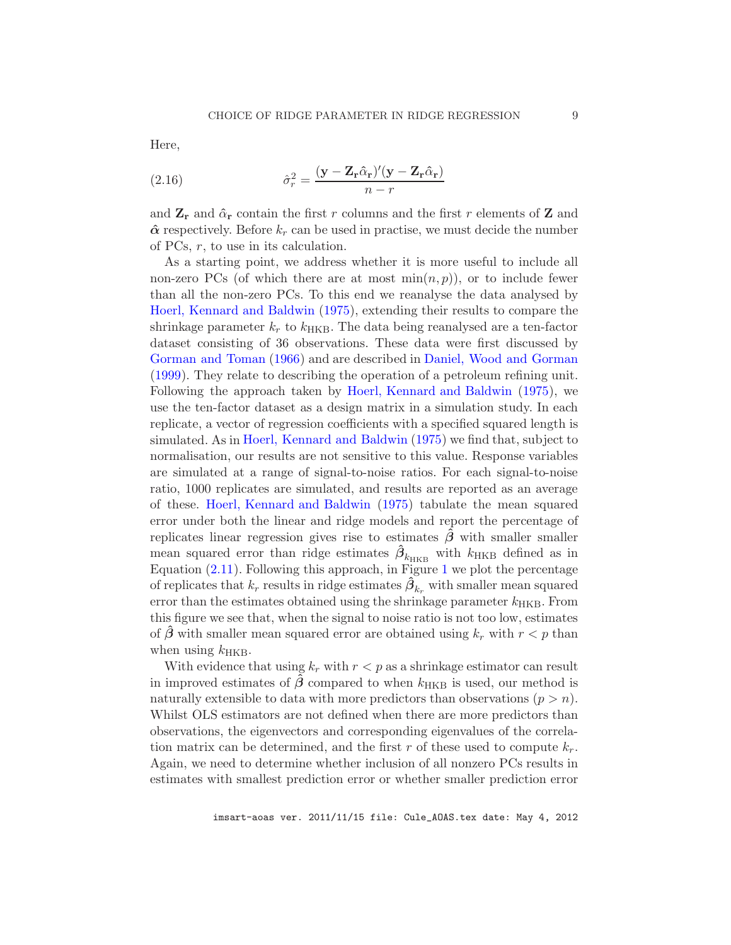Here,

<span id="page-8-0"></span>(2.16) 
$$
\hat{\sigma}_r^2 = \frac{(\mathbf{y} - \mathbf{Z}_r \hat{\alpha}_r)'(\mathbf{y} - \mathbf{Z}_r \hat{\alpha}_r)}{n - r}
$$

and  $\mathbb{Z}_{r}$  and  $\hat{\alpha}_{r}$  contain the first r columns and the first r elements of Z and  $\hat{\alpha}$  respectively. Before  $k_r$  can be used in practise, we must decide the number of PCs, r, to use in its calculation.

As a starting point, we address whether it is more useful to include all non-zero PCs (of which there are at most  $\min(n, p)$ ), or to include fewer than all the non-zero PCs. To this end we reanalyse the data analysed by [Hoerl, Kennard and Baldwin](#page-29-7) [\(1975](#page-29-7)), extending their results to compare the shrinkage parameter  $k_r$  to  $k_{HKB}$ . The data being reanalysed are a ten-factor dataset consisting of 36 observations. These data were first discussed by [Gorman and Toman](#page-29-12) [\(1966](#page-29-12)) and are described in [Daniel, Wood and Gorman](#page-29-13) [\(1999\)](#page-29-13). They relate to describing the operation of a petroleum refining unit. Following the approach taken by [Hoerl, Kennard and Baldwin](#page-29-7) [\(1975\)](#page-29-7), we use the ten-factor dataset as a design matrix in a simulation study. In each replicate, a vector of regression coefficients with a specified squared length is simulated. As in [Hoerl, Kennard and Baldwin](#page-29-7) [\(1975](#page-29-7)) we find that, subject to normalisation, our results are not sensitive to this value. Response variables are simulated at a range of signal-to-noise ratios. For each signal-to-noise ratio, 1000 replicates are simulated, and results are reported as an average of these. [Hoerl, Kennard and Baldwin](#page-29-7) [\(1975](#page-29-7)) tabulate the mean squared error under both the linear and ridge models and report the percentage of replicates linear regression gives rise to estimates  $\beta$  with smaller smaller mean squared error than ridge estimates  $\hat{\beta}_{k_{HKB}}$  with  $k_{HKB}$  defined as in Equation [\(2.11\)](#page-7-0). Following this approach, in Figure [1](#page-26-0) we plot the percentage of replicates that  $k_r$  results in ridge estimates  $\hat{\beta}_{k_r}$  with smaller mean squared error than the estimates obtained using the shrinkage parameter  $k_{HKB}$ . From this figure we see that, when the signal to noise ratio is not too low, estimates of  $\hat{\beta}$  with smaller mean squared error are obtained using  $k_r$  with  $r < p$  than when using  $k_{HKB}$ .

With evidence that using  $k_r$  with  $r < p$  as a shrinkage estimator can result in improved estimates of  $\beta$  compared to when  $k_{HKB}$  is used, our method is naturally extensible to data with more predictors than observations  $(p > n)$ . Whilst OLS estimators are not defined when there are more predictors than observations, the eigenvectors and corresponding eigenvalues of the correlation matrix can be determined, and the first r of these used to compute  $k_r$ . Again, we need to determine whether inclusion of all nonzero PCs results in estimates with smallest prediction error or whether smaller prediction error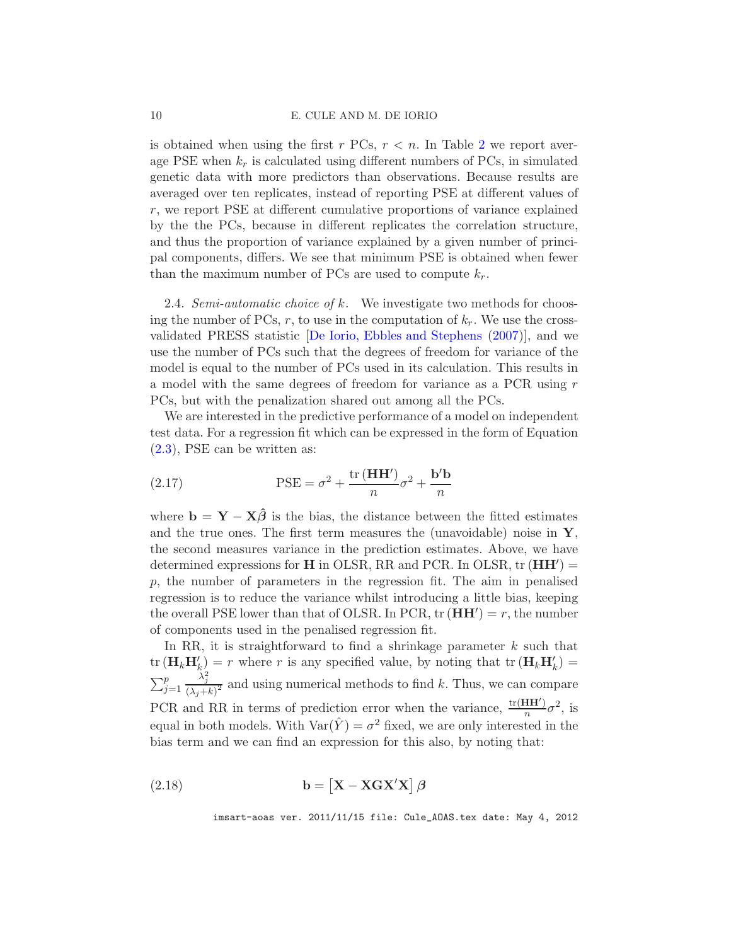is obtained when using the first r PCs,  $r < n$ . In Table [2](#page-24-0) we report average PSE when  $k_r$  is calculated using different numbers of PCs, in simulated genetic data with more predictors than observations. Because results are averaged over ten replicates, instead of reporting PSE at different values of r, we report PSE at different cumulative proportions of variance explained by the the PCs, because in different replicates the correlation structure, and thus the proportion of variance explained by a given number of principal components, differs. We see that minimum PSE is obtained when fewer than the maximum number of PCs are used to compute  $k_r$ .

<span id="page-9-1"></span>2.4. *Semi-automatic choice of* k*.* We investigate two methods for choosing the number of PCs, r, to use in the computation of  $k_r$ . We use the crossvalidated PRESS statistic [\[De Iorio, Ebbles and Stephens](#page-29-14) [\(2007](#page-29-14))], and we use the number of PCs such that the degrees of freedom for variance of the model is equal to the number of PCs used in its calculation. This results in a model with the same degrees of freedom for variance as a PCR using r PCs, but with the penalization shared out among all the PCs.

We are interested in the predictive performance of a model on independent test data. For a regression fit which can be expressed in the form of Equation [\(2.3\)](#page-5-3), PSE can be written as:

(2.17) 
$$
\text{PSE} = \sigma^2 + \frac{\text{tr}(\mathbf{H}\mathbf{H}')}{n}\sigma^2 + \frac{\mathbf{b}'\mathbf{b}}{n}
$$

where  $\mathbf{b} = \mathbf{Y} - \mathbf{X}\hat{\boldsymbol{\beta}}$  is the bias, the distance between the fitted estimates and the true ones. The first term measures the (unavoidable) noise in  $Y$ , the second measures variance in the prediction estimates. Above, we have determined expressions for  $H$  in OLSR, RR and PCR. In OLSR,  $tr(HH') =$  $p$ , the number of parameters in the regression fit. The aim in penalised regression is to reduce the variance whilst introducing a little bias, keeping the overall PSE lower than that of OLSR. In PCR,  $tr(HH') = r$ , the number of components used in the penalised regression fit.

In RR, it is straightforward to find a shrinkage parameter  $k$  such that  $\mathrm{tr}(\mathbf{H}_k \mathbf{H}'_k) = r$  where r is any specified value, by noting that  $\mathrm{tr}(\mathbf{H}_k \mathbf{H}'_k) =$  $\sum_{j=1}^p$  $\lambda_j^2$  $\frac{\lambda_j}{(\lambda_j+k)^2}$  and using numerical methods to find k. Thus, we can compare PCR and RR in terms of prediction error when the variance,  $\frac{\text{tr}(\mathbf{H}\mathbf{H}')}{n}$  $\frac{\mathbf{H}\mathbf{H}'}{n} \sigma^2$ , is equal in both models. With  $\text{Var}(\hat{Y}) = \sigma^2$  fixed, we are only interested in the bias term and we can find an expression for this also, by noting that:

<span id="page-9-0"></span>(2.18) 
$$
\mathbf{b} = \left[ \mathbf{X} - \mathbf{X} \mathbf{G} \mathbf{X}' \mathbf{X} \right] \boldsymbol{\beta}
$$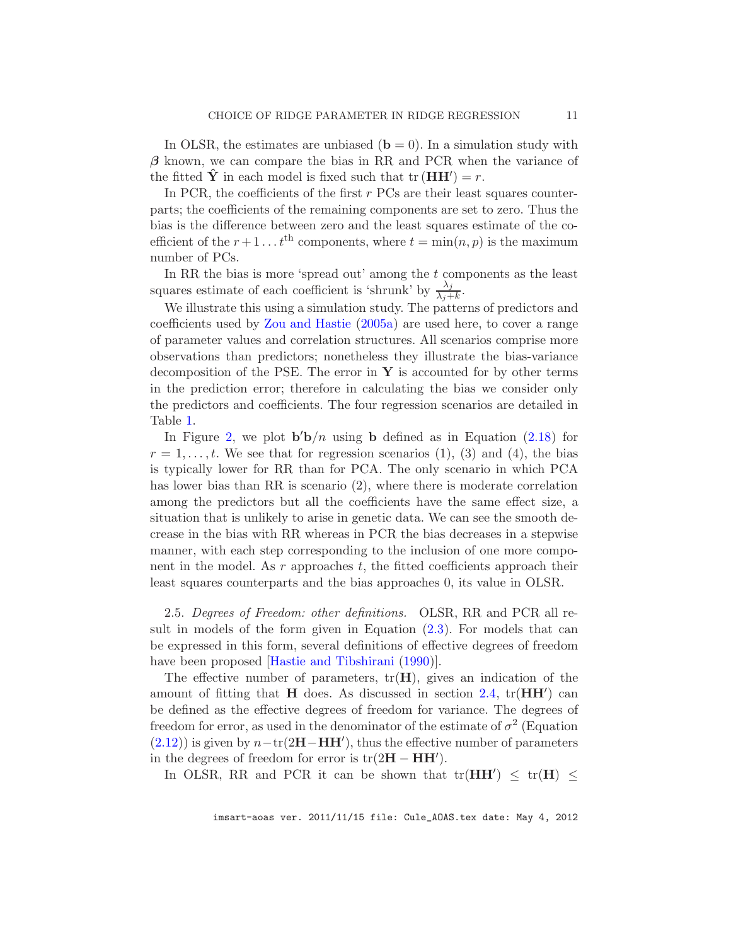In OLSR, the estimates are unbiased  $(b = 0)$ . In a simulation study with  $\beta$  known, we can compare the bias in RR and PCR when the variance of the fitted  $\hat{\mathbf{Y}}$  in each model is fixed such that  $tr(\mathbf{HH}') = r$ .

In PCR, the coefficients of the first  $r$  PCs are their least squares counterparts; the coefficients of the remaining components are set to zero. Thus the bias is the difference between zero and the least squares estimate of the coefficient of the  $r+1...$  t<sup>th</sup> components, where  $t = \min(n, p)$  is the maximum number of PCs.

In RR the bias is more 'spread out' among the  $t$  components as the least squares estimate of each coefficient is 'shrunk' by  $\frac{\lambda_j}{\lambda_j + k}$ .

We illustrate this using a simulation study. The patterns of predictors and coefficients used by [Zou and Hastie](#page-31-4) [\(2005a](#page-31-4)) are used here, to cover a range of parameter values and correlation structures. All scenarios comprise more observations than predictors; nonetheless they illustrate the bias-variance decomposition of the PSE. The error in  $Y$  is accounted for by other terms in the prediction error; therefore in calculating the bias we consider only the predictors and coefficients. The four regression scenarios are detailed in Table [1.](#page-24-1)

In Figure [2,](#page-27-0) we plot  $\mathbf{b}'\mathbf{b}/n$  using **b** defined as in Equation [\(2.18\)](#page-9-0) for  $r = 1, \ldots, t$ . We see that for regression scenarios (1), (3) and (4), the bias is typically lower for RR than for PCA. The only scenario in which PCA has lower bias than RR is scenario (2), where there is moderate correlation among the predictors but all the coefficients have the same effect size, a situation that is unlikely to arise in genetic data. We can see the smooth decrease in the bias with RR whereas in PCR the bias decreases in a stepwise manner, with each step corresponding to the inclusion of one more component in the model. As  $r$  approaches  $t$ , the fitted coefficients approach their least squares counterparts and the bias approaches 0, its value in OLSR.

<span id="page-10-0"></span>2.5. *Degrees of Freedom: other definitions.* OLSR, RR and PCR all result in models of the form given in Equation [\(2.3\)](#page-5-3). For models that can be expressed in this form, several definitions of effective degrees of freedom have been proposed [\[Hastie and Tibshirani](#page-29-10) [\(1990](#page-29-10))].

The effective number of parameters,  $tr(H)$ , gives an indication of the amount of fitting that  $H$  does. As discussed in section [2.4,](#page-9-1)  $tr(HH')$  can be defined as the effective degrees of freedom for variance. The degrees of freedom for error, as used in the denominator of the estimate of  $\sigma^2$  (Equation  $(2.12)$ ) is given by  $n-\text{tr}(2\mathbf{H}-\mathbf{H}\mathbf{H}')$ , thus the effective number of parameters in the degrees of freedom for error is  $tr(2H - HH')$ .

In OLSR, RR and PCR it can be shown that  $tr(HH') \leq tr(H) \leq$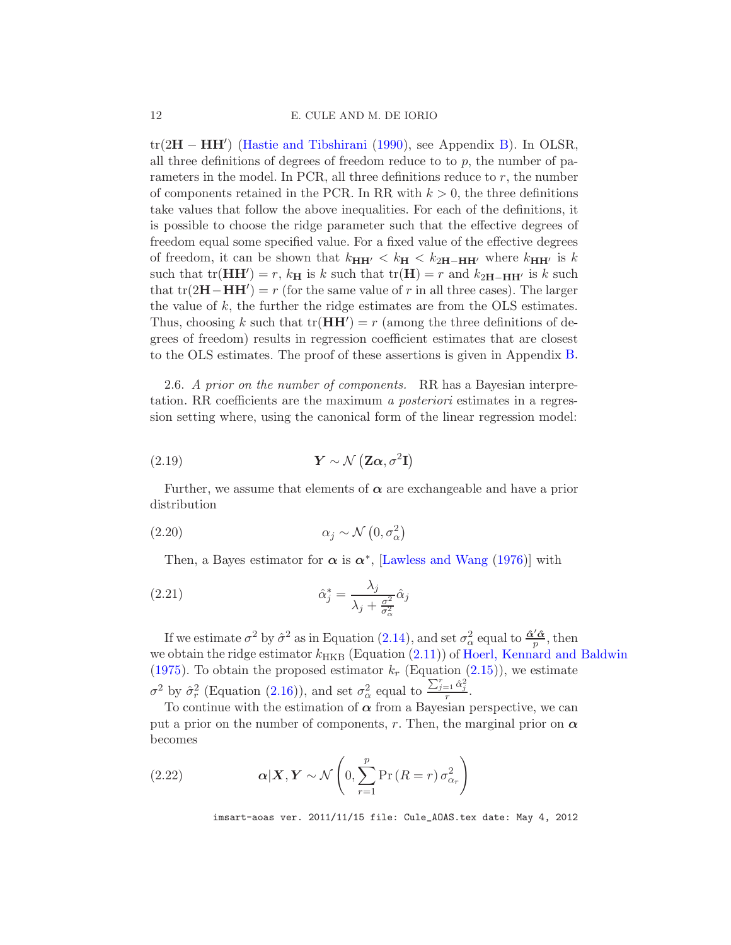tr(2H − HH′ ) [\(Hastie and Tibshirani](#page-29-10) [\(1990\)](#page-29-10), see Appendix [B\)](#page-22-0). In OLSR, all three definitions of degrees of freedom reduce to to  $p$ , the number of parameters in the model. In PCR, all three definitions reduce to  $r$ , the number of components retained in the PCR. In RR with  $k > 0$ , the three definitions take values that follow the above inequalities. For each of the definitions, it is possible to choose the ridge parameter such that the effective degrees of freedom equal some specified value. For a fixed value of the effective degrees of freedom, it can be shown that  $k_{HH'} < k_H < k_{2H-HH'}$  where  $k_{HH'}$  is k such that  $tr(HH') = r$ ,  $k_H$  is k such that  $tr(H) = r$  and  $k_{2H-HH'}$  is k such that  $tr(2H-HH') = r$  (for the same value of r in all three cases). The larger the value of  $k$ , the further the ridge estimates are from the OLS estimates. Thus, choosing k such that  $tr(HH') = r$  (among the three definitions of degrees of freedom) results in regression coefficient estimates that are closest to the OLS estimates. The proof of these assertions is given in Appendix [B.](#page-22-0)

2.6. *A prior on the number of components.* RR has a Bayesian interpretation. RR coefficients are the maximum *a posteriori* estimates in a regression setting where, using the canonical form of the linear regression model:

(2.19) 
$$
\mathbf{Y} \sim \mathcal{N} \left( \mathbf{Z} \alpha, \sigma^2 \mathbf{I} \right)
$$

Further, we assume that elements of  $\alpha$  are exchangeable and have a prior distribution

$$
\alpha_j \sim \mathcal{N}\left(0, \sigma_\alpha^2\right)
$$

Then, a Bayes estimator for  $\alpha$  is  $\alpha^*$ , [\[Lawless and Wang](#page-30-7) [\(1976](#page-30-7))] with

(2.21) 
$$
\hat{\alpha}_j^* = \frac{\lambda_j}{\lambda_j + \frac{\sigma^2}{\sigma_\alpha^2}} \hat{\alpha}_j
$$

If we estimate  $\sigma^2$  by  $\hat{\sigma}^2$  as in Equation [\(2.14\)](#page-7-2), and set  $\sigma_\alpha^2$  equal to  $\frac{\hat{\alpha}'\hat{\alpha}}{p}$  $\frac{\alpha}{p}$ , then we obtain the ridge estimator  $k_{HKB}$  (Equation [\(2.11\)](#page-7-0)) of [Hoerl, Kennard and Baldwin](#page-29-7) [\(1975\)](#page-29-7). To obtain the proposed estimator  $k_r$  (Equation [\(2.15\)](#page-7-3)), we estimate  $\sigma^2$  by  $\hat{\sigma}_r^2$  (Equation [\(2.16\)](#page-8-0)), and set  $\sigma_\alpha^2$  equal to  $\frac{\sum_{j=1}^r \hat{\alpha}_j^2}{r}$ .

To continue with the estimation of  $\alpha$  from a Bayesian perspective, we can put a prior on the number of components, r. Then, the marginal prior on  $\alpha$ becomes

<span id="page-11-0"></span>(2.22) 
$$
\alpha | \mathbf{X}, \mathbf{Y} \sim \mathcal{N}\left(0, \sum_{r=1}^{p} \Pr(R = r) \sigma_{\alpha_r}^2\right)
$$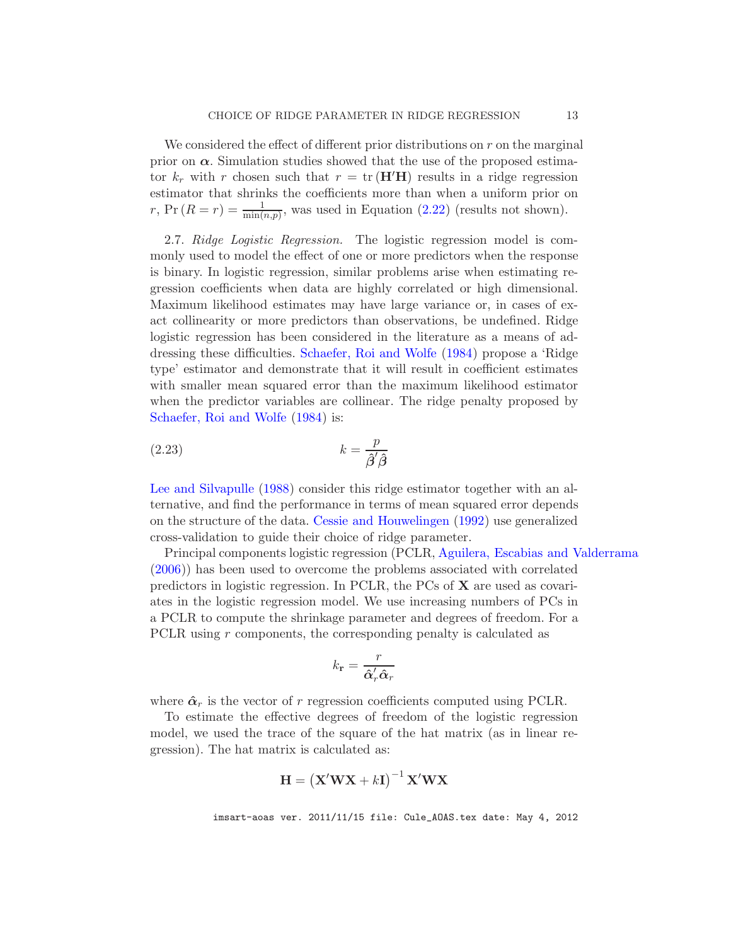We considered the effect of different prior distributions on  $r$  on the marginal prior on  $\alpha$ . Simulation studies showed that the use of the proposed estimator  $k_r$  with r chosen such that  $r = \text{tr}(\mathbf{H}'\mathbf{H})$  results in a ridge regression estimator that shrinks the coefficients more than when a uniform prior on r, Pr  $(R = r) = \frac{1}{\min(n,p)}$ , was used in Equation [\(2.22\)](#page-11-0) (results not shown).

2.7. *Ridge Logistic Regression.* The logistic regression model is commonly used to model the effect of one or more predictors when the response is binary. In logistic regression, similar problems arise when estimating regression coefficients when data are highly correlated or high dimensional. Maximum likelihood estimates may have large variance or, in cases of exact collinearity or more predictors than observations, be undefined. Ridge logistic regression has been considered in the literature as a means of addressing these difficulties. [Schaefer, Roi and Wolfe](#page-30-9) [\(1984](#page-30-9)) propose a 'Ridge type' estimator and demonstrate that it will result in coefficient estimates with smaller mean squared error than the maximum likelihood estimator when the predictor variables are collinear. The ridge penalty proposed by [Schaefer, Roi and Wolfe](#page-30-9) [\(1984\)](#page-30-9) is:

$$
(2.23) \t\t k = \frac{p}{\hat{\beta}'\hat{\beta}}
$$

[Lee and Silvapulle](#page-30-5) [\(1988](#page-30-5)) consider this ridge estimator together with an alternative, and find the performance in terms of mean squared error depends on the structure of the data. [Cessie and Houwelingen](#page-29-5) [\(1992\)](#page-29-5) use generalized cross-validation to guide their choice of ridge parameter.

Principal components logistic regression (PCLR, [Aguilera, Escabias and Valderrama](#page-29-15) [\(2006\)](#page-29-15)) has been used to overcome the problems associated with correlated predictors in logistic regression. In PCLR, the PCs of  $X$  are used as covariates in the logistic regression model. We use increasing numbers of PCs in a PCLR to compute the shrinkage parameter and degrees of freedom. For a PCLR using r components, the corresponding penalty is calculated as

$$
k_{\mathbf{r}} = \frac{r}{\hat{\alpha}'_r \hat{\alpha}_r}
$$

where  $\hat{\alpha}_r$  is the vector of r regression coefficients computed using PCLR.

To estimate the effective degrees of freedom of the logistic regression model, we used the trace of the square of the hat matrix (as in linear regression). The hat matrix is calculated as:

$$
\mathbf{H} = \left(\mathbf{X}'\mathbf{W}\mathbf{X} + k\mathbf{I}\right)^{-1}\mathbf{X}'\mathbf{W}\mathbf{X}
$$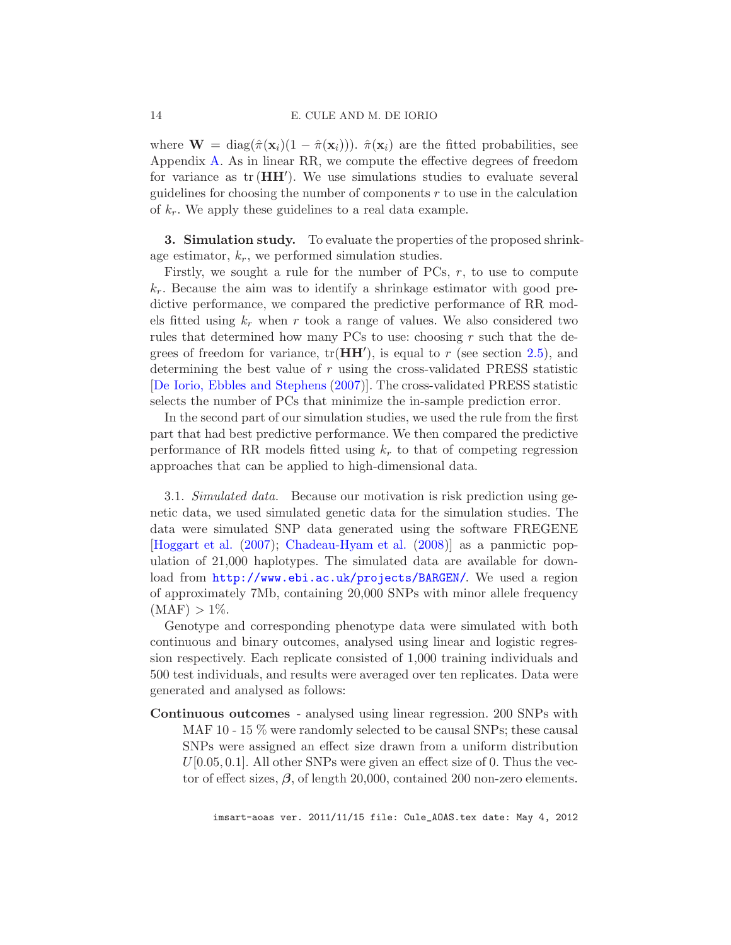#### 14 E. CULE AND M. DE IORIO

where  $\mathbf{W} = \text{diag}(\hat{\pi}(\mathbf{x}_i)(1 - \hat{\pi}(\mathbf{x}_i)))$ .  $\hat{\pi}(\mathbf{x}_i)$  are the fitted probabilities, see Appendix [A.](#page-19-0) As in linear RR, we compute the effective degrees of freedom for variance as  $tr(HH')$ . We use simulations studies to evaluate several guidelines for choosing the number of components r to use in the calculation of  $k_r$ . We apply these guidelines to a real data example.

<span id="page-13-0"></span>3. Simulation study. To evaluate the properties of the proposed shrinkage estimator,  $k_r$ , we performed simulation studies.

Firstly, we sought a rule for the number of PCs,  $r$ , to use to compute  $k_r$ . Because the aim was to identify a shrinkage estimator with good predictive performance, we compared the predictive performance of RR models fitted using  $k_r$  when r took a range of values. We also considered two rules that determined how many PCs to use: choosing  $r$  such that the degrees of freedom for variance,  $tr(HH')$ , is equal to r (see section [2.5\)](#page-10-0), and determining the best value of r using the cross-validated PRESS statistic [\[De Iorio, Ebbles and Stephens](#page-29-14) [\(2007](#page-29-14))]. The cross-validated PRESS statistic selects the number of PCs that minimize the in-sample prediction error.

In the second part of our simulation studies, we used the rule from the first part that had best predictive performance. We then compared the predictive performance of RR models fitted using  $k_r$  to that of competing regression approaches that can be applied to high-dimensional data.

3.1. *Simulated data.* Because our motivation is risk prediction using genetic data, we used simulated genetic data for the simulation studies. The data were simulated SNP data generated using the software FREGENE [\[Hoggart et al.](#page-29-16) [\(2007](#page-29-16)); [Chadeau-Hyam et al.](#page-29-17) [\(2008](#page-29-17))] as a panmictic population of 21,000 haplotypes. The simulated data are available for download from <http://www.ebi.ac.uk/projects/BARGEN/>. We used a region of approximately 7Mb, containing 20,000 SNPs with minor allele frequency  $(MAF) > 1\%.$ 

Genotype and corresponding phenotype data were simulated with both continuous and binary outcomes, analysed using linear and logistic regression respectively. Each replicate consisted of 1,000 training individuals and 500 test individuals, and results were averaged over ten replicates. Data were generated and analysed as follows:

Continuous outcomes - analysed using linear regression. 200 SNPs with MAF 10 - 15 % were randomly selected to be causal SNPs; these causal SNPs were assigned an effect size drawn from a uniform distribution  $U[0.05, 0.1]$ . All other SNPs were given an effect size of 0. Thus the vector of effect sizes,  $\beta$ , of length 20,000, contained 200 non-zero elements.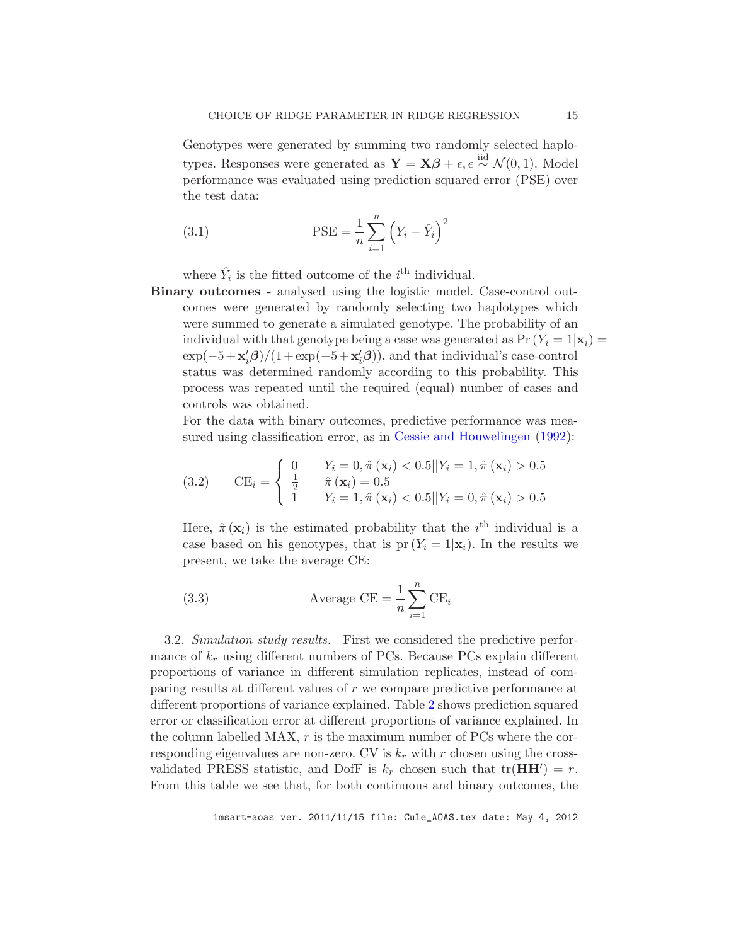Genotypes were generated by summing two randomly selected haplotypes. Responses were generated as  $\mathbf{Y} = \mathbf{X}\boldsymbol{\beta} + \epsilon, \epsilon \stackrel{\text{iid}}{\sim} \mathcal{N}(0, 1)$ . Model performance was evaluated using prediction squared error (PSE) over the test data:

(3.1) 
$$
\text{PSE} = \frac{1}{n} \sum_{i=1}^{n} (Y_i - \hat{Y}_i)^2
$$

where  $\hat{Y}_i$  is the fitted outcome of the *i*<sup>th</sup> individual.

Binary outcomes - analysed using the logistic model. Case-control outcomes were generated by randomly selecting two haplotypes which were summed to generate a simulated genotype. The probability of an individual with that genotype being a case was generated as  $Pr(Y_i = 1|\mathbf{x}_i)$  $\exp(-5 + \mathbf{x}'_i \boldsymbol{\beta})/(1 + \exp(-5 + \mathbf{x}'_i \boldsymbol{\beta}))$ , and that individual's case-control status was determined randomly according to this probability. This process was repeated until the required (equal) number of cases and controls was obtained.

For the data with binary outcomes, predictive performance was mea-sured using classification error, as in [Cessie and Houwelingen](#page-29-5) [\(1992](#page-29-5)):

(3.2) 
$$
\text{CE}_{i} = \begin{cases} 0 & Y_{i} = 0, \hat{\pi}(\mathbf{x}_{i}) < 0.5||Y_{i} = 1, \hat{\pi}(\mathbf{x}_{i}) > 0.5 \\ \frac{1}{2} & \hat{\pi}(\mathbf{x}_{i}) = 0.5 \\ 1 & Y_{i} = 1, \hat{\pi}(\mathbf{x}_{i}) < 0.5||Y_{i} = 0, \hat{\pi}(\mathbf{x}_{i}) > 0.5 \end{cases}
$$

Here,  $\hat{\pi}(\mathbf{x}_i)$  is the estimated probability that the *i*<sup>th</sup> individual is a case based on his genotypes, that is  $pr(Y_i = 1|\mathbf{x}_i)$ . In the results we present, we take the average CE:

(3.3) Average CE = 
$$
\frac{1}{n} \sum_{i=1}^{n} CE_i
$$

3.2. *Simulation study results.* First we considered the predictive performance of  $k_r$  using different numbers of PCs. Because PCs explain different proportions of variance in different simulation replicates, instead of comparing results at different values of r we compare predictive performance at different proportions of variance explained. Table [2](#page-24-0) shows prediction squared error or classification error at different proportions of variance explained. In the column labelled MAX,  $r$  is the maximum number of PCs where the corresponding eigenvalues are non-zero. CV is  $k_r$  with r chosen using the crossvalidated PRESS statistic, and DofF is  $k_r$  chosen such that  $tr(HH') = r$ . From this table we see that, for both continuous and binary outcomes, the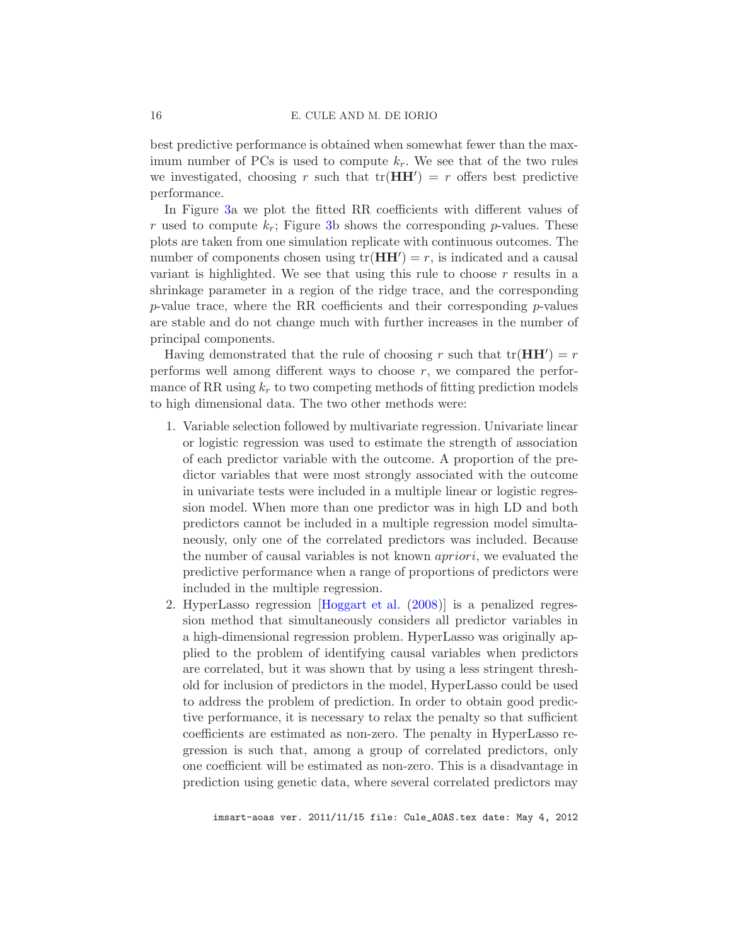best predictive performance is obtained when somewhat fewer than the maximum number of PCs is used to compute  $k_r$ . We see that of the two rules we investigated, choosing r such that  $tr(HH') = r$  offers best predictive performance.

In Figure [3a](#page-28-0) we plot the fitted RR coefficients with different values of r used to compute  $k_r$ ; Figure [3b](#page-28-0) shows the corresponding p-values. These plots are taken from one simulation replicate with continuous outcomes. The number of components chosen using  $tr(HH') = r$ , is indicated and a causal variant is highlighted. We see that using this rule to choose  $r$  results in a shrinkage parameter in a region of the ridge trace, and the corresponding  $p$ -value trace, where the RR coefficients and their corresponding  $p$ -values are stable and do not change much with further increases in the number of principal components.

Having demonstrated that the rule of choosing r such that  $tr(HH') = r$ performs well among different ways to choose  $r$ , we compared the performance of RR using  $k_r$  to two competing methods of fitting prediction models to high dimensional data. The two other methods were:

- 1. Variable selection followed by multivariate regression. Univariate linear or logistic regression was used to estimate the strength of association of each predictor variable with the outcome. A proportion of the predictor variables that were most strongly associated with the outcome in univariate tests were included in a multiple linear or logistic regression model. When more than one predictor was in high LD and both predictors cannot be included in a multiple regression model simultaneously, only one of the correlated predictors was included. Because the number of causal variables is not known apriori, we evaluated the predictive performance when a range of proportions of predictors were included in the multiple regression.
- 2. HyperLasso regression [\[Hoggart et al.](#page-30-3) [\(2008](#page-30-3))] is a penalized regression method that simultaneously considers all predictor variables in a high-dimensional regression problem. HyperLasso was originally applied to the problem of identifying causal variables when predictors are correlated, but it was shown that by using a less stringent threshold for inclusion of predictors in the model, HyperLasso could be used to address the problem of prediction. In order to obtain good predictive performance, it is necessary to relax the penalty so that sufficient coefficients are estimated as non-zero. The penalty in HyperLasso regression is such that, among a group of correlated predictors, only one coefficient will be estimated as non-zero. This is a disadvantage in prediction using genetic data, where several correlated predictors may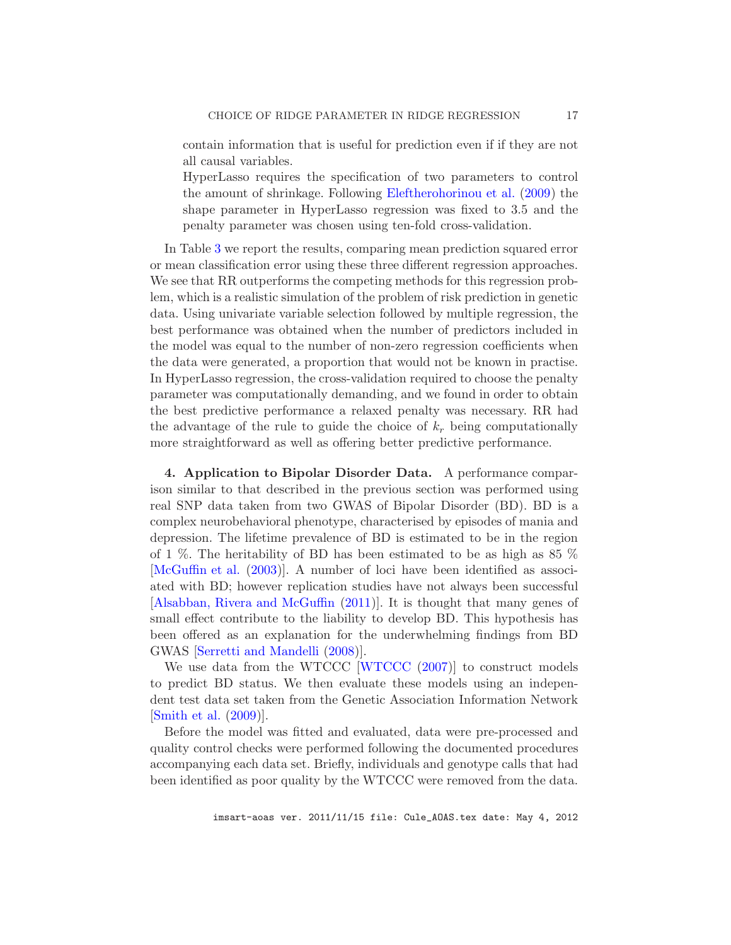contain information that is useful for prediction even if if they are not all causal variables.

HyperLasso requires the specification of two parameters to control the amount of shrinkage. Following [Eleftherohorinou et al.](#page-29-18) [\(2009](#page-29-18)) the shape parameter in HyperLasso regression was fixed to 3.5 and the penalty parameter was chosen using ten-fold cross-validation.

In Table [3](#page-24-2) we report the results, comparing mean prediction squared error or mean classification error using these three different regression approaches. We see that RR outperforms the competing methods for this regression problem, which is a realistic simulation of the problem of risk prediction in genetic data. Using univariate variable selection followed by multiple regression, the best performance was obtained when the number of predictors included in the model was equal to the number of non-zero regression coefficients when the data were generated, a proportion that would not be known in practise. In HyperLasso regression, the cross-validation required to choose the penalty parameter was computationally demanding, and we found in order to obtain the best predictive performance a relaxed penalty was necessary. RR had the advantage of the rule to guide the choice of  $k_r$  being computationally more straightforward as well as offering better predictive performance.

<span id="page-16-0"></span>4. Application to Bipolar Disorder Data. A performance comparison similar to that described in the previous section was performed using real SNP data taken from two GWAS of Bipolar Disorder (BD). BD is a complex neurobehavioral phenotype, characterised by episodes of mania and depression. The lifetime prevalence of BD is estimated to be in the region of 1 %. The heritability of BD has been estimated to be as high as 85 % [\[McGuffin et al.](#page-30-10) [\(2003](#page-30-10))]. A number of loci have been identified as associated with BD; however replication studies have not always been successful [\[Alsabban, Rivera and McGuffin](#page-29-19) [\(2011](#page-29-19))]. It is thought that many genes of small effect contribute to the liability to develop BD. This hypothesis has been offered as an explanation for the underwhelming findings from BD GWAS [\[Serretti and Mandelli](#page-30-11) [\(2008](#page-30-11))].

We use data from the WTCCC [\[WTCCC](#page-31-3) [\(2007](#page-31-3))] to construct models to predict BD status. We then evaluate these models using an independent test data set taken from the Genetic Association Information Network [\[Smith et al.](#page-30-8) [\(2009\)](#page-30-8)].

Before the model was fitted and evaluated, data were pre-processed and quality control checks were performed following the documented procedures accompanying each data set. Briefly, individuals and genotype calls that had been identified as poor quality by the WTCCC were removed from the data.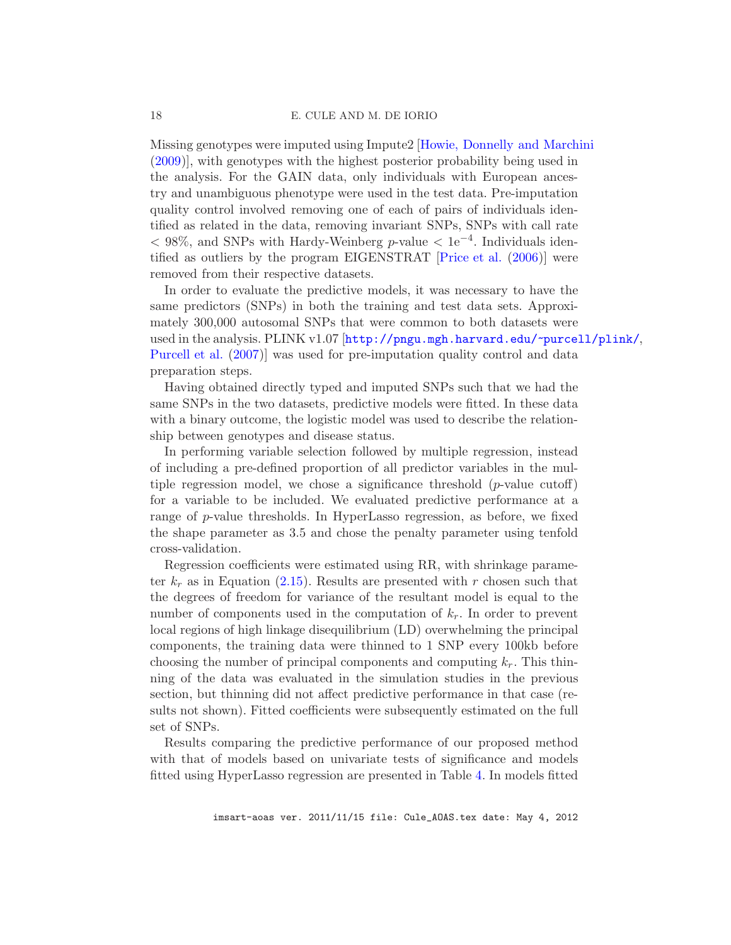Missing genotypes were imputed using Impute2 [\[Howie, Donnelly and Marchini](#page-30-12) [\(2009\)](#page-30-12)], with genotypes with the highest posterior probability being used in the analysis. For the GAIN data, only individuals with European ancestry and unambiguous phenotype were used in the test data. Pre-imputation quality control involved removing one of each of pairs of individuals identified as related in the data, removing invariant SNPs, SNPs with call rate  $<$  98%, and SNPs with Hardy-Weinberg *p*-value  $<$  1e<sup>-4</sup>. Individuals identified as outliers by the program EIGENSTRAT [\[Price et al.](#page-30-13) [\(2006](#page-30-13))] were removed from their respective datasets.

In order to evaluate the predictive models, it was necessary to have the same predictors (SNPs) in both the training and test data sets. Approximately 300,000 autosomal SNPs that were common to both datasets were used in the analysis. PLINK v1.07 [<http://pngu.mgh.harvard.edu/~purcell/plink/>, [Purcell et al.](#page-30-14) [\(2007](#page-30-14))] was used for pre-imputation quality control and data preparation steps.

Having obtained directly typed and imputed SNPs such that we had the same SNPs in the two datasets, predictive models were fitted. In these data with a binary outcome, the logistic model was used to describe the relationship between genotypes and disease status.

In performing variable selection followed by multiple regression, instead of including a pre-defined proportion of all predictor variables in the multiple regression model, we chose a significance threshold  $(p$ -value cutoff) for a variable to be included. We evaluated predictive performance at a range of p-value thresholds. In HyperLasso regression, as before, we fixed the shape parameter as 3.5 and chose the penalty parameter using tenfold cross-validation.

Regression coefficients were estimated using RR, with shrinkage parameter  $k_r$  as in Equation [\(2.15\)](#page-7-3). Results are presented with r chosen such that the degrees of freedom for variance of the resultant model is equal to the number of components used in the computation of  $k_r$ . In order to prevent local regions of high linkage disequilibrium (LD) overwhelming the principal components, the training data were thinned to 1 SNP every 100kb before choosing the number of principal components and computing  $k_r$ . This thinning of the data was evaluated in the simulation studies in the previous section, but thinning did not affect predictive performance in that case (results not shown). Fitted coefficients were subsequently estimated on the full set of SNPs.

Results comparing the predictive performance of our proposed method with that of models based on univariate tests of significance and models fitted using HyperLasso regression are presented in Table [4.](#page-25-0) In models fitted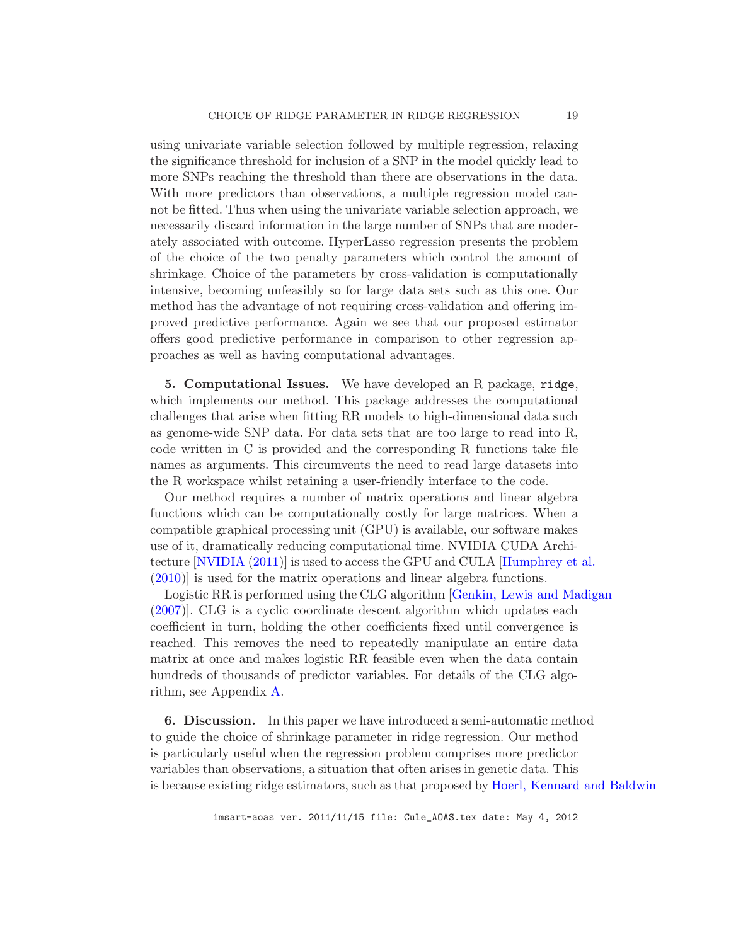using univariate variable selection followed by multiple regression, relaxing the significance threshold for inclusion of a SNP in the model quickly lead to more SNPs reaching the threshold than there are observations in the data. With more predictors than observations, a multiple regression model cannot be fitted. Thus when using the univariate variable selection approach, we necessarily discard information in the large number of SNPs that are moderately associated with outcome. HyperLasso regression presents the problem of the choice of the two penalty parameters which control the amount of shrinkage. Choice of the parameters by cross-validation is computationally intensive, becoming unfeasibly so for large data sets such as this one. Our method has the advantage of not requiring cross-validation and offering improved predictive performance. Again we see that our proposed estimator offers good predictive performance in comparison to other regression approaches as well as having computational advantages.

<span id="page-18-0"></span>5. Computational Issues. We have developed an R package, ridge, which implements our method. This package addresses the computational challenges that arise when fitting RR models to high-dimensional data such as genome-wide SNP data. For data sets that are too large to read into R, code written in C is provided and the corresponding R functions take file names as arguments. This circumvents the need to read large datasets into the R workspace whilst retaining a user-friendly interface to the code.

Our method requires a number of matrix operations and linear algebra functions which can be computationally costly for large matrices. When a compatible graphical processing unit (GPU) is available, our software makes use of it, dramatically reducing computational time. NVIDIA CUDA Architecture [\[NVIDIA](#page-30-15) [\(2011\)](#page-30-15)] is used to access the GPU and CULA [\[Humphrey et al.](#page-30-16) [\(2010\)](#page-30-16)] is used for the matrix operations and linear algebra functions.

Logistic RR is performed using the CLG algorithm [\[Genkin, Lewis and Madigan](#page-29-20) [\(2007\)](#page-29-20)]. CLG is a cyclic coordinate descent algorithm which updates each coefficient in turn, holding the other coefficients fixed until convergence is reached. This removes the need to repeatedly manipulate an entire data matrix at once and makes logistic RR feasible even when the data contain hundreds of thousands of predictor variables. For details of the CLG algorithm, see Appendix [A.](#page-19-0)

6. Discussion. In this paper we have introduced a semi-automatic method to guide the choice of shrinkage parameter in ridge regression. Our method is particularly useful when the regression problem comprises more predictor variables than observations, a situation that often arises in genetic data. This is because existing ridge estimators, such as that proposed by [Hoerl, Kennard and Baldwin](#page-29-7)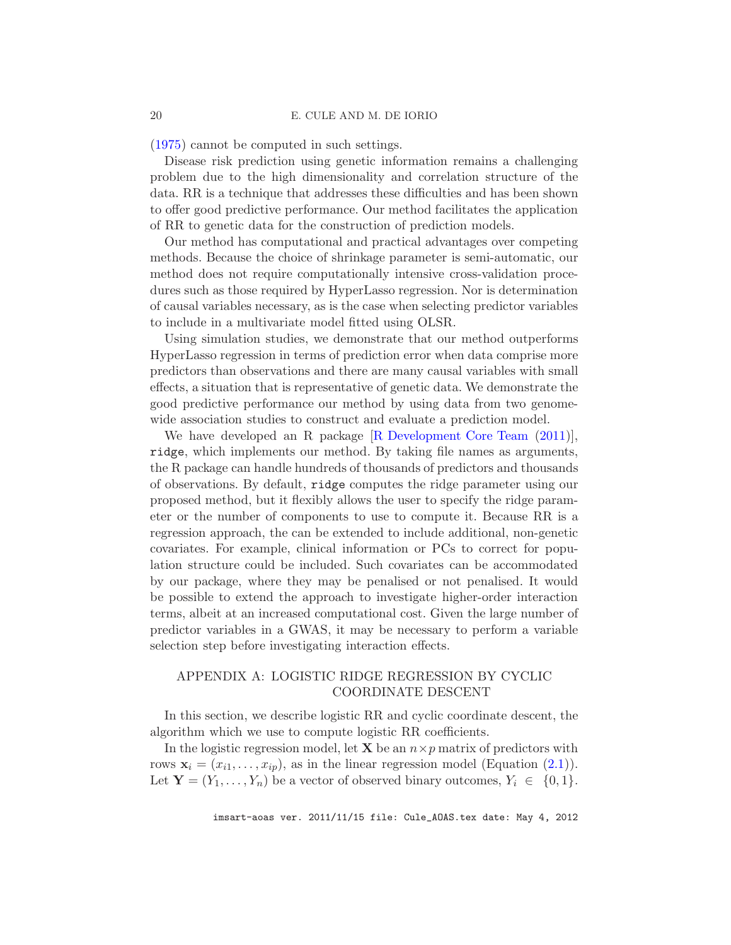[\(1975\)](#page-29-7) cannot be computed in such settings.

Disease risk prediction using genetic information remains a challenging problem due to the high dimensionality and correlation structure of the data. RR is a technique that addresses these difficulties and has been shown to offer good predictive performance. Our method facilitates the application of RR to genetic data for the construction of prediction models.

Our method has computational and practical advantages over competing methods. Because the choice of shrinkage parameter is semi-automatic, our method does not require computationally intensive cross-validation procedures such as those required by HyperLasso regression. Nor is determination of causal variables necessary, as is the case when selecting predictor variables to include in a multivariate model fitted using OLSR.

Using simulation studies, we demonstrate that our method outperforms HyperLasso regression in terms of prediction error when data comprise more predictors than observations and there are many causal variables with small effects, a situation that is representative of genetic data. We demonstrate the good predictive performance our method by using data from two genomewide association studies to construct and evaluate a prediction model.

We have developed an R package [\[R Development Core Team](#page-30-17) [\(2011](#page-30-17))], ridge, which implements our method. By taking file names as arguments, the R package can handle hundreds of thousands of predictors and thousands of observations. By default, ridge computes the ridge parameter using our proposed method, but it flexibly allows the user to specify the ridge parameter or the number of components to use to compute it. Because RR is a regression approach, the can be extended to include additional, non-genetic covariates. For example, clinical information or PCs to correct for population structure could be included. Such covariates can be accommodated by our package, where they may be penalised or not penalised. It would be possible to extend the approach to investigate higher-order interaction terms, albeit at an increased computational cost. Given the large number of predictor variables in a GWAS, it may be necessary to perform a variable selection step before investigating interaction effects.

# <span id="page-19-0"></span>APPENDIX A: LOGISTIC RIDGE REGRESSION BY CYCLIC COORDINATE DESCENT

In this section, we describe logistic RR and cyclic coordinate descent, the algorithm which we use to compute logistic RR coefficients.

In the logistic regression model, let **X** be an  $n \times p$  matrix of predictors with rows  $\mathbf{x}_i = (x_{i1}, \ldots, x_{ip})$ , as in the linear regression model (Equation [\(2.1\)](#page-5-2)). Let  $\mathbf{Y} = (Y_1, \ldots, Y_n)$  be a vector of observed binary outcomes,  $Y_i \in \{0, 1\}.$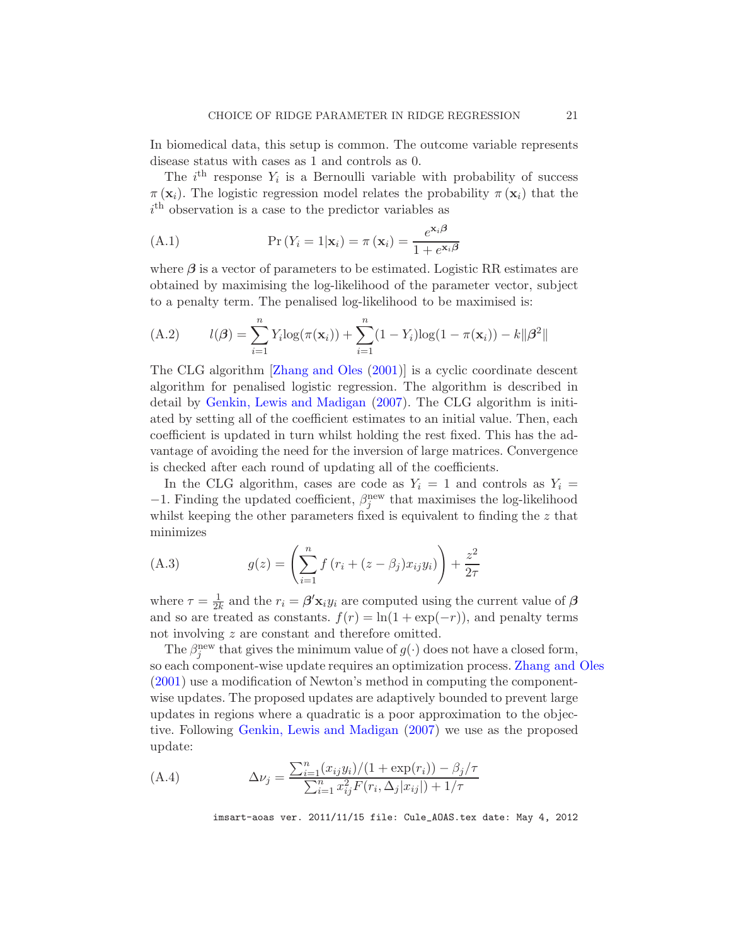In biomedical data, this setup is common. The outcome variable represents disease status with cases as 1 and controls as 0.

The  $i^{\text{th}}$  response  $Y_i$  is a Bernoulli variable with probability of success  $\pi(\mathbf{x}_i)$ . The logistic regression model relates the probability  $\pi(\mathbf{x}_i)$  that the  $i<sup>th</sup>$  observation is a case to the predictor variables as

(A.1) 
$$
\Pr(Y_i = 1 | \mathbf{x}_i) = \pi(\mathbf{x}_i) = \frac{e^{\mathbf{x}_i \beta}}{1 + e^{\mathbf{x}_i \beta}}
$$

where  $\beta$  is a vector of parameters to be estimated. Logistic RR estimates are obtained by maximising the log-likelihood of the parameter vector, subject to a penalty term. The penalised log-likelihood to be maximised is:

(A.2) 
$$
l(\boldsymbol{\beta}) = \sum_{i=1}^{n} Y_i \log(\pi(\mathbf{x}_i)) + \sum_{i=1}^{n} (1 - Y_i) \log(1 - \pi(\mathbf{x}_i)) - k ||\boldsymbol{\beta}^2||
$$

The CLG algorithm [\[Zhang and Oles](#page-31-5) [\(2001](#page-31-5))] is a cyclic coordinate descent algorithm for penalised logistic regression. The algorithm is described in detail by [Genkin, Lewis and Madigan](#page-29-20) [\(2007](#page-29-20)). The CLG algorithm is initiated by setting all of the coefficient estimates to an initial value. Then, each coefficient is updated in turn whilst holding the rest fixed. This has the advantage of avoiding the need for the inversion of large matrices. Convergence is checked after each round of updating all of the coefficients.

In the CLG algorithm, cases are code as  $Y_i = 1$  and controls as  $Y_i =$ −1. Finding the updated coefficient,  $\beta_j^{\text{new}}$  that maximises the log-likelihood whilst keeping the other parameters fixed is equivalent to finding the  $z$  that minimizes

(A.3) 
$$
g(z) = \left(\sum_{i=1}^{n} f(r_i + (z - \beta_j)x_{ij}y_i)\right) + \frac{z^2}{2\tau}
$$

where  $\tau = \frac{1}{2k}$  and the  $r_i = \beta' \mathbf{x}_i y_i$  are computed using the current value of  $\beta$ and so are treated as constants.  $f(r) = \ln(1 + \exp(-r))$ , and penalty terms not involving z are constant and therefore omitted.

The  $\beta_j^{\text{new}}$  that gives the minimum value of  $g(\cdot)$  does not have a closed form, so each component-wise update requires an optimization process. [Zhang and Oles](#page-31-5) [\(2001\)](#page-31-5) use a modification of Newton's method in computing the componentwise updates. The proposed updates are adaptively bounded to prevent large updates in regions where a quadratic is a poor approximation to the objective. Following [Genkin, Lewis and Madigan](#page-29-20) [\(2007](#page-29-20)) we use as the proposed update:

<span id="page-20-0"></span>(A.4) 
$$
\Delta \nu_j = \frac{\sum_{i=1}^n (x_{ij} y_i)/(1 + \exp(r_i)) - \beta_j/\tau}{\sum_{i=1}^n x_{ij}^2 F(r_i, \Delta_j |x_{ij}|) + 1/\tau}
$$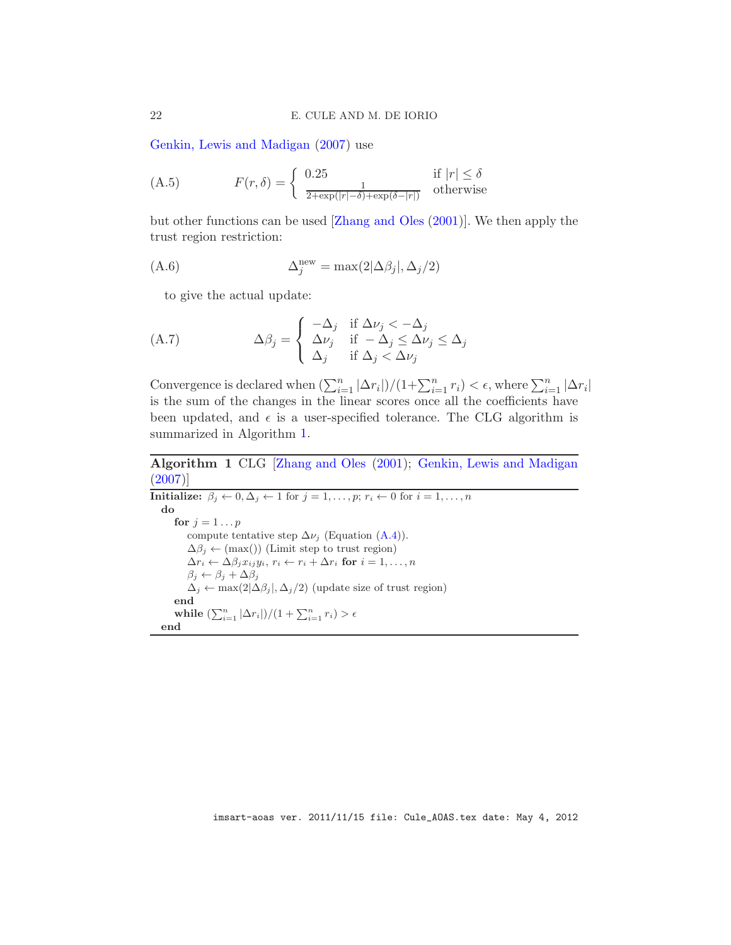[Genkin, Lewis and Madigan](#page-29-20) [\(2007](#page-29-20)) use

(A.5) 
$$
F(r,\delta) = \begin{cases} 0.25 & \text{if } |r| \le \delta \\ \frac{1}{2 + \exp(|r| - \delta) + \exp(\delta - |r|)} & \text{otherwise} \end{cases}
$$

but other functions can be used [\[Zhang and Oles](#page-31-5) [\(2001](#page-31-5))]. We then apply the trust region restriction:

(A.6) 
$$
\Delta_j^{\text{new}} = \max(2|\Delta\beta_j|, \Delta_j/2)
$$

to give the actual update:

(A.7) 
$$
\Delta \beta_j = \begin{cases}\n-\Delta_j & \text{if } \Delta \nu_j < -\Delta_j \\
\Delta \nu_j & \text{if } -\Delta_j \le \Delta \nu_j \le \Delta_j \\
\Delta_j & \text{if } \Delta_j < \Delta \nu_j\n\end{cases}
$$

Convergence is declared when  $(\sum_{i=1}^n |\Delta r_i|)/(1+\sum_{i=1}^n r_i) < \epsilon$ , where  $\sum_{i=1}^n |\Delta r_i|$ is the sum of the changes in the linear scores once all the coefficients have been updated, and  $\epsilon$  is a user-specified tolerance. The CLG algorithm is summarized in Algorithm [1.](#page-21-0)

Algorithm 1 CLG [\[Zhang and Oles](#page-31-5) [\(2001](#page-31-5)); [Genkin, Lewis and Madigan](#page-29-20) [\(2007\)](#page-29-20)]

<span id="page-21-0"></span>**Initialize:**  $\beta_j \leftarrow 0, \Delta_j \leftarrow 1$  for  $j = 1, \ldots, p; r_i \leftarrow 0$  for  $i = 1, \ldots, n$ do for  $j = 1 \ldots p$ compute tentative step  $\Delta \nu_i$  (Equation [\(A.4\)](#page-20-0)).  $\Delta \beta_j \leftarrow (\text{max}() )$  (Limit step to trust region)  $\Delta r_i \leftarrow \Delta \beta_j x_{ij} y_i, r_i \leftarrow r_i + \Delta r_i$  for  $i = 1, ..., n$  $\beta_j \leftarrow \beta_j + \Delta \beta_j$  $\Delta_j \leftarrow \max(2|\Delta\beta_j|, \Delta_j/2)$  (update size of trust region) end while  $\left(\sum_{i=1}^n |\Delta r_i|\right)/(1+\sum_{i=1}^n r_i) > \epsilon$ end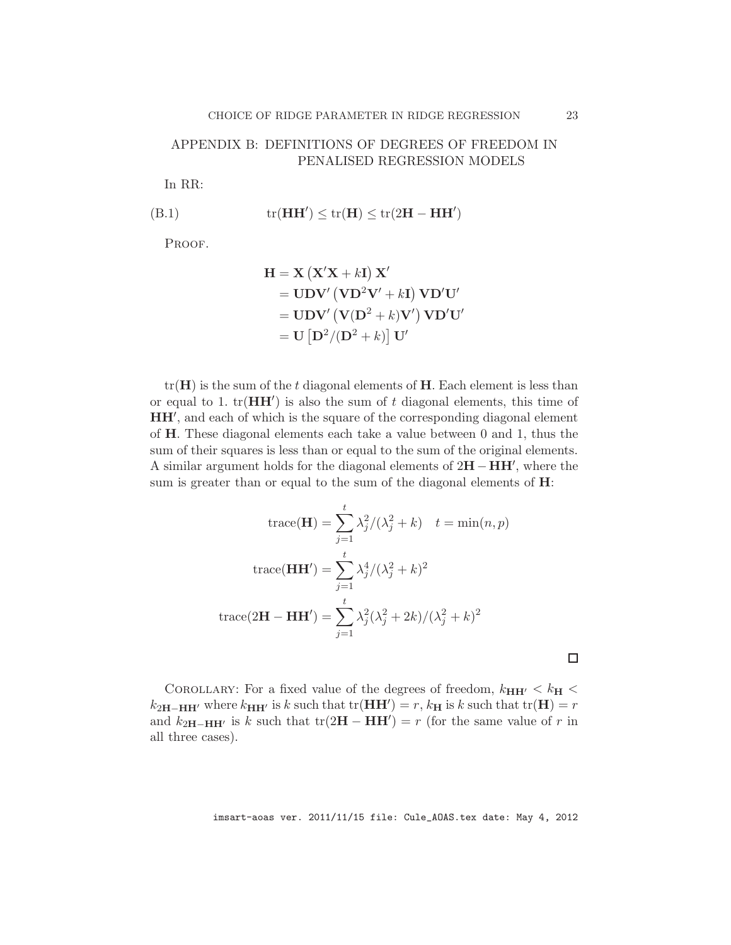## <span id="page-22-0"></span>APPENDIX B: DEFINITIONS OF DEGREES OF FREEDOM IN PENALISED REGRESSION MODELS

In RR:

(B.1) 
$$
\operatorname{tr}(\mathbf{H}\mathbf{H}') \leq \operatorname{tr}(\mathbf{H}) \leq \operatorname{tr}(2\mathbf{H} - \mathbf{H}\mathbf{H}')
$$

PROOF.

<span id="page-22-1"></span>
$$
H = X (X'X + kI) X'
$$
  
= UDV' (VD<sup>2</sup>V' + kI) VD'U'  
= UDV' (V(D<sup>2</sup> + k)V') VD'U'  
= U [D<sup>2</sup>/(D<sup>2</sup> + k)] U'

 $tr(\mathbf{H})$  is the sum of the t diagonal elements of  $\mathbf{H}$ . Each element is less than or equal to 1.  $tr(HH')$  is also the sum of t diagonal elements, this time of HH', and each of which is the square of the corresponding diagonal element of H. These diagonal elements each take a value between 0 and 1, thus the sum of their squares is less than or equal to the sum of the original elements. A similar argument holds for the diagonal elements of  $2H - HH'$ , where the sum is greater than or equal to the sum of the diagonal elements of  $\mathbf{H}$ :

trace(**H**) = 
$$
\sum_{j=1}^{t} \lambda_j^2 / (\lambda_j^2 + k)
$$
  $t = \min(n, p)$   
trace(**HH'**) =  $\sum_{j=1}^{t} \lambda_j^4 / (\lambda_j^2 + k)^2$   
trace(2**H** – **HH'**) =  $\sum_{j=1}^{t} \lambda_j^2 (\lambda_j^2 + 2k) / (\lambda_j^2 + k)^2$ 

COROLLARY: For a fixed value of the degrees of freedom,  $k_{HH'} < k_H$  $k_{2H-HH'}$  where  $k_{HH'}$  is k such that  $tr(HH') = r$ ,  $k_H$  is k such that  $tr(H) = r$ and  $k_{2H-HH'}$  is k such that  $tr(2H - HH') = r$  (for the same value of r in all three cases).

imsart-aoas ver. 2011/11/15 file: Cule\_AOAS.tex date: May 4, 2012

 $\Box$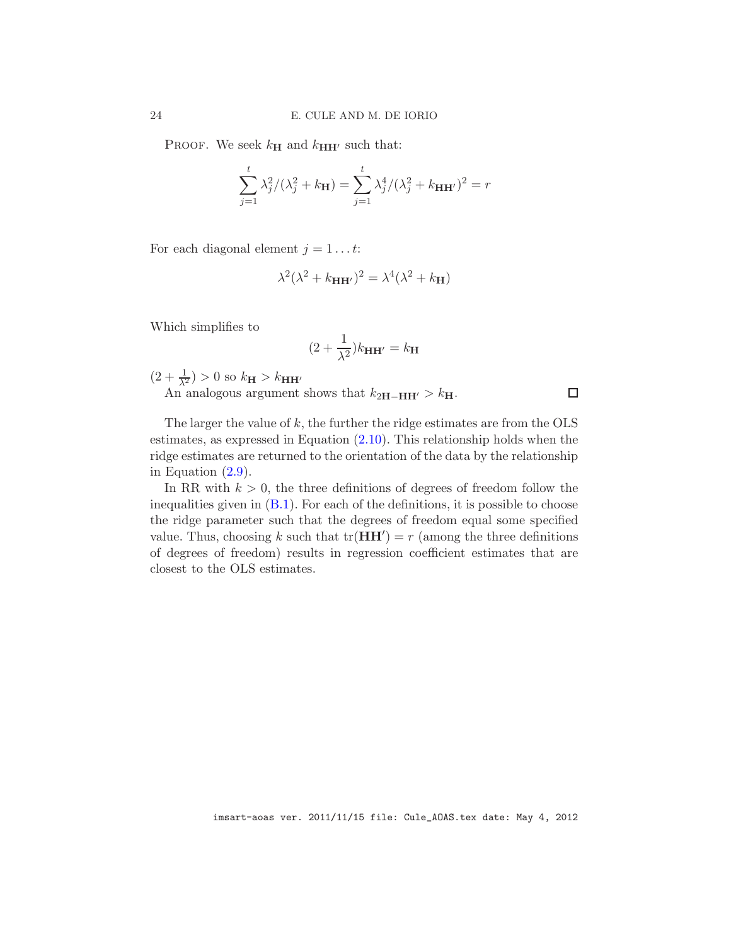PROOF. We seek  $k_{\mathbf{H}}$  and  $k_{\mathbf{H}\mathbf{H}'}$  such that:

$$
\sum_{j=1}^{t} \lambda_j^2 / (\lambda_j^2 + k_{\mathbf{H}}) = \sum_{j=1}^{t} \lambda_j^4 / (\lambda_j^2 + k_{\mathbf{H}})
$$

For each diagonal element  $j = 1 \dots t$ :

$$
\lambda^2(\lambda^2 + k_{\mathbf{HH'}})^2 = \lambda^4(\lambda^2 + k_{\mathbf{H}})
$$

Which simplifies to

$$
(2 + \frac{1}{\lambda^2})k_{\mathbf{H}\mathbf{H}'} = k_{\mathbf{H}}
$$

 $(2 + \frac{1}{\lambda^2}) > 0$  so  $k_{\mathbf{H}} > k_{\mathbf{H}\mathbf{H'}}$ 

An analogous argument shows that  $k_{2H-HH'} > k_H$ .

 $\Box$ 

The larger the value of  $k$ , the further the ridge estimates are from the  $OLS$ estimates, as expressed in Equation [\(2.10\)](#page-7-4). This relationship holds when the ridge estimates are returned to the orientation of the data by the relationship in Equation [\(2.9\)](#page-6-1).

In RR with  $k > 0$ , the three definitions of degrees of freedom follow the inequalities given in [\(B.1\)](#page-22-1). For each of the definitions, it is possible to choose the ridge parameter such that the degrees of freedom equal some specified value. Thus, choosing k such that  $tr(HH') = r$  (among the three definitions of degrees of freedom) results in regression coefficient estimates that are closest to the OLS estimates.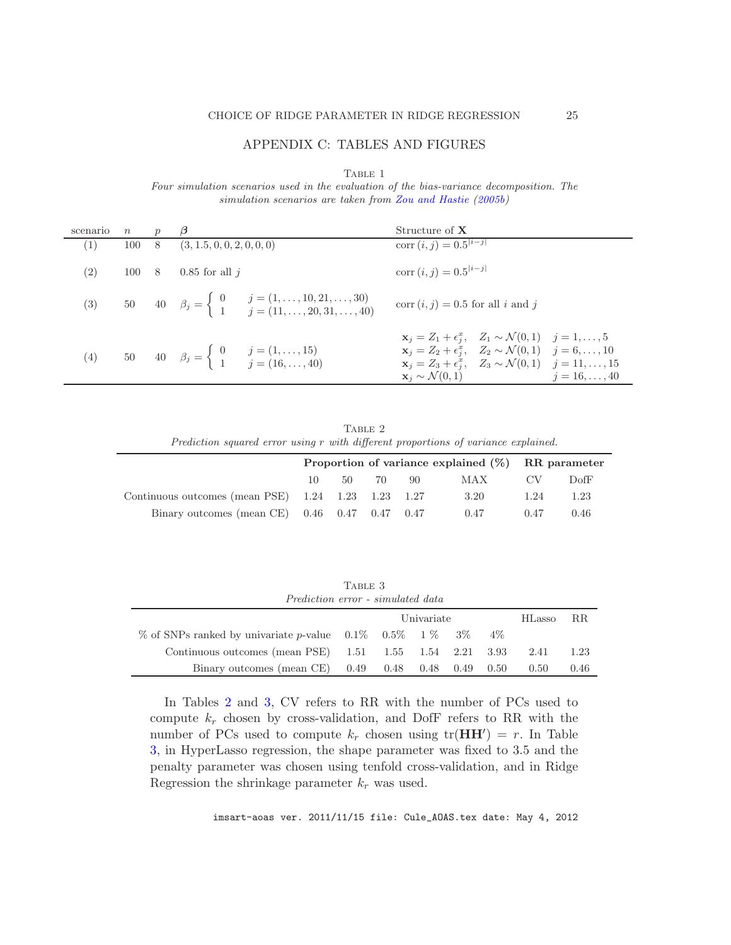## APPENDIX C: TABLES AND FIGURES

<span id="page-24-1"></span>TABLE 1 Four simulation scenarios used in the evaluation of the bias-variance decomposition. The simulation scenarios are taken from [Zou and Hastie](#page-31-1) [\(2005b\)](#page-31-1)

| scenario | $\overline{n}$ | p | $\beta$                                                                                                                             | Structure of X                                                                                                                                                                                                                                                                                                   |
|----------|----------------|---|-------------------------------------------------------------------------------------------------------------------------------------|------------------------------------------------------------------------------------------------------------------------------------------------------------------------------------------------------------------------------------------------------------------------------------------------------------------|
| (1)      |                |   | $100 \quad 8 \quad (3, 1.5, 0, 0, 2, 0, 0, 0)$                                                                                      | corr $(i, j) = 0.5^{ i-j }$                                                                                                                                                                                                                                                                                      |
| (2)      | 100 8          |   | $0.85$ for all $i$                                                                                                                  | corr $(i, j) = 0.5^{ i-j }$                                                                                                                                                                                                                                                                                      |
|          |                |   | (3) 50 40 $\beta_j = \begin{cases} 0 & j = (1, \ldots, 10, 21, \ldots, 30) \\ 1 & j = (11, \ldots, 20, 31, \ldots, 40) \end{cases}$ | corr $(i, j) = 0.5$ for all i and j                                                                                                                                                                                                                                                                              |
|          |                |   | (4) 50 40 $\beta_j = \begin{cases} 0 & j = (1, , 15) \\ 1 & j = (16, , 40) \end{cases}$                                             | $\mathbf{x}_j = Z_1 + \epsilon_j^x$ , $Z_1 \sim \mathcal{N}(0, 1)$ $j = 1, , 5$<br>$\mathbf{x}_j = Z_2 + \epsilon_j^x$ , $Z_2 \sim \mathcal{N}(0, 1)$ $j = 6, , 10$<br>$\mathbf{x}_j = Z_3 + \epsilon_j^x$ , $Z_3 \sim \mathcal{N}(0, 1)$ $j = 11, , 15$<br>$\mathbf{x}_i \sim \mathcal{N}(0, 1)$ $j = 16, , 40$ |

<span id="page-24-0"></span>TABLE 2 Prediction squared error using r with different proportions of variance explained.

|                                                            | Proportion of variance explained $(\%)$ RR parameter |  |          |  |      |      |      |  |
|------------------------------------------------------------|------------------------------------------------------|--|----------|--|------|------|------|--|
|                                                            | $10 -$                                               |  | 50 70 90 |  | MAX  | CV.  | DofF |  |
| Continuous outcomes (mean PSE) $1.24$ $1.23$ $1.23$ $1.27$ |                                                      |  |          |  | 3.20 | 1.24 | 1.23 |  |
| Binary outcomes (mean CE) $0.46$ $0.47$ $0.47$ $0.47$      |                                                      |  |          |  | 0.47 | 0.47 | 0.46 |  |

<span id="page-24-2"></span>

| TABLE 3<br>Prediction error - simulated data                      |            |  |  |  |       |               |             |
|-------------------------------------------------------------------|------------|--|--|--|-------|---------------|-------------|
|                                                                   | Univariate |  |  |  |       | <b>HLasso</b> | $_{\rm RR}$ |
| $\%$ of SNPs ranked by univariate p-value 0.1\% 0.5\% 1 \% 3\%    |            |  |  |  | $4\%$ |               |             |
| Continuous outcomes (mean PSE) $1.51$ $1.55$ $1.54$ $2.21$ $3.93$ |            |  |  |  |       | 2.41          | 1.23        |
| Binary outcomes (mean CE) $0.49$ $0.48$ $0.48$ $0.49$ $0.50$      |            |  |  |  |       | 0.50          | 0.46        |

In Tables [2](#page-24-0) and [3,](#page-24-2) CV refers to RR with the number of PCs used to compute  $k_r$  chosen by cross-validation, and DofF refers to RR with the number of PCs used to compute  $k_r$  chosen using  $tr(HH') = r$ . In Table [3,](#page-24-2) in HyperLasso regression, the shape parameter was fixed to 3.5 and the penalty parameter was chosen using tenfold cross-validation, and in Ridge Regression the shrinkage parameter  $k_r$  was used.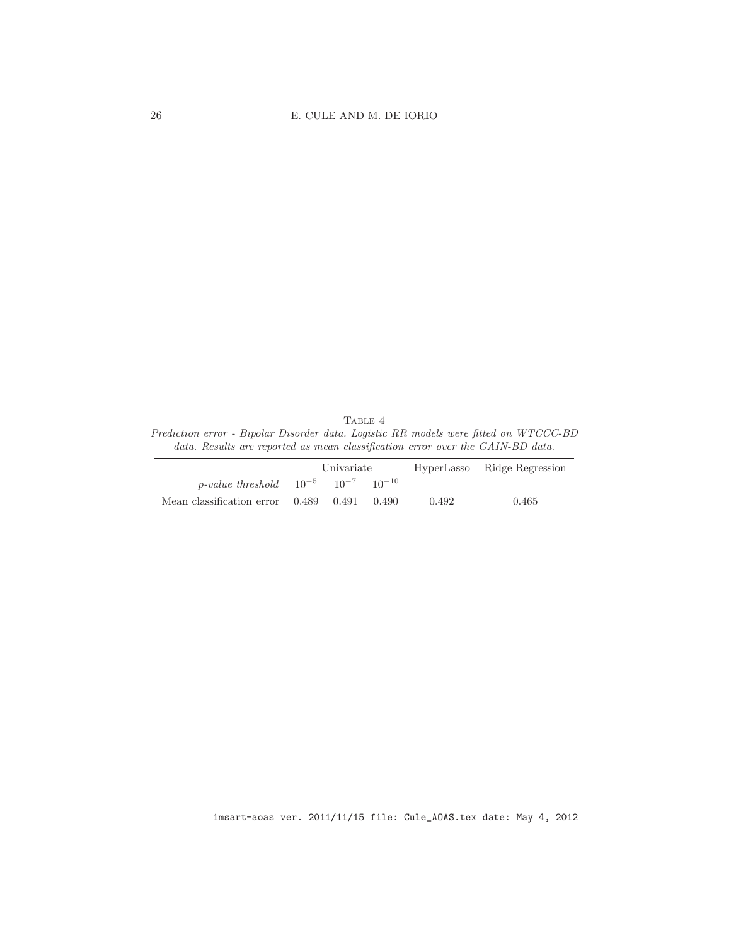26 E. CULE AND M. DE IORIO

<span id="page-25-0"></span>TABLE 4 Prediction error - Bipolar Disorder data. Logistic RR models were fitted on WTCCC-BD data. Results are reported as mean classification error over the GAIN-BD data.

|                                                          | Univariate |  |       |       | HyperLasso Ridge Regression |
|----------------------------------------------------------|------------|--|-------|-------|-----------------------------|
| <i>p</i> -value threshold $10^{-5}$ $10^{-7}$ $10^{-10}$ |            |  |       |       |                             |
| Mean classification error $0.489$ 0.491                  |            |  | 0.490 | 0.492 | 0.465                       |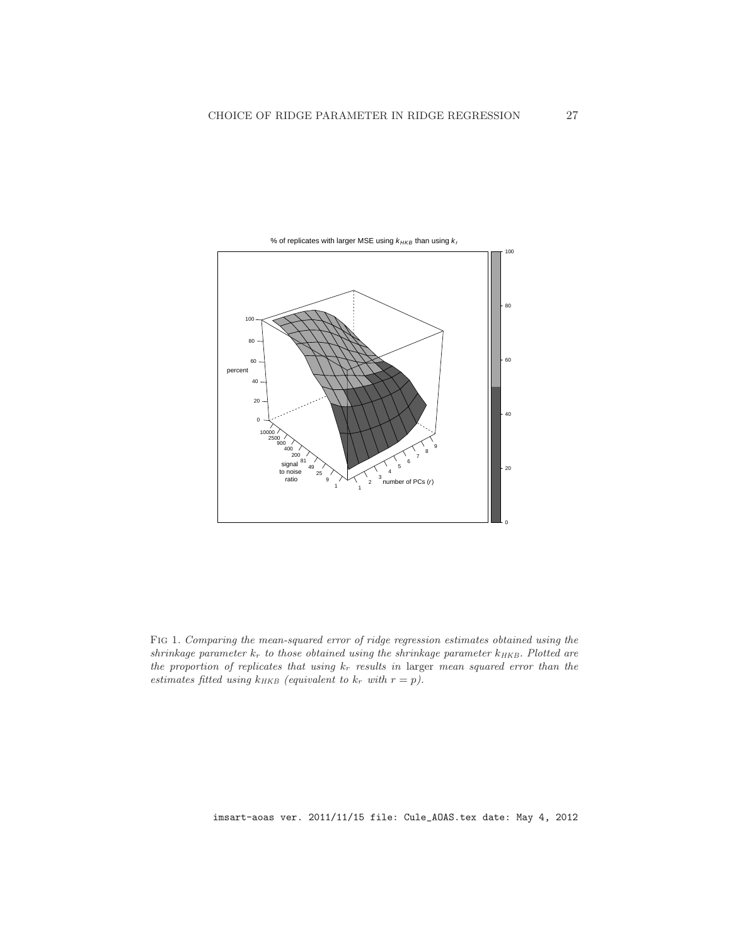

<span id="page-26-0"></span>Fig 1. Comparing the mean-squared error of ridge regression estimates obtained using the shrinkage parameter  $k_r$  to those obtained using the shrinkage parameter  $k_{HKB}$ . Plotted are the proportion of replicates that using  $k_r$  results in larger mean squared error than the estimates fitted using  $k_{HKB}$  (equivalent to  $k_r$  with  $r = p$ ).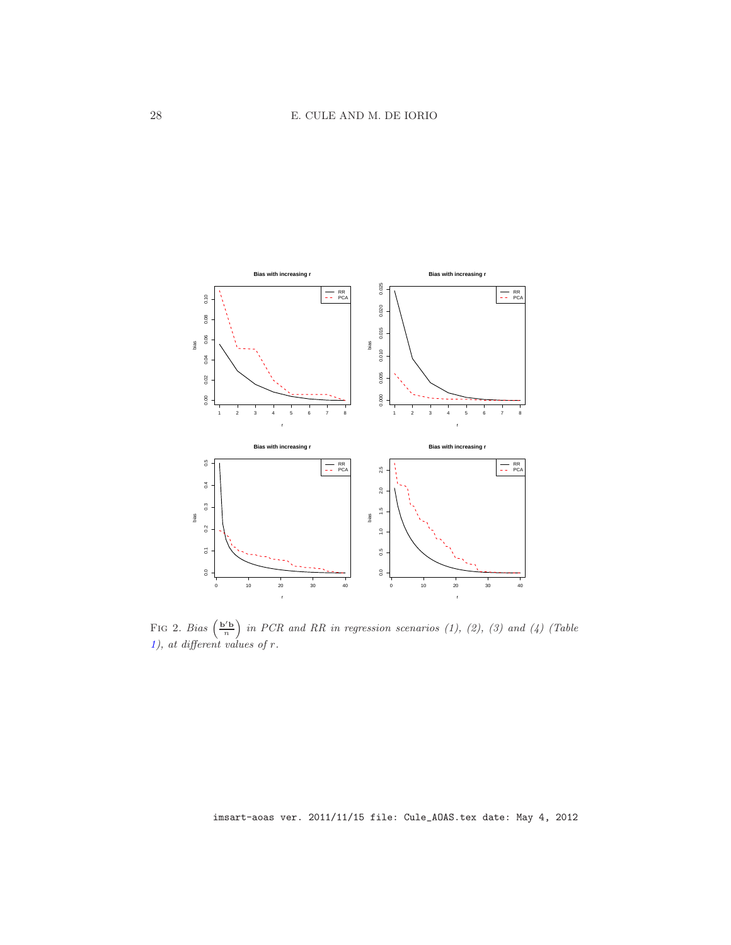

<span id="page-27-0"></span>FIG 2. Bias  $\left(\frac{\mathbf{b}'\mathbf{b}}{n}\right)$  $\left(\frac{n}{n}\right)$  in PCR and RR in regression scenarios (1), (2), (3) and (4) (Table [1\)](#page-24-1), at different values of  $r$ .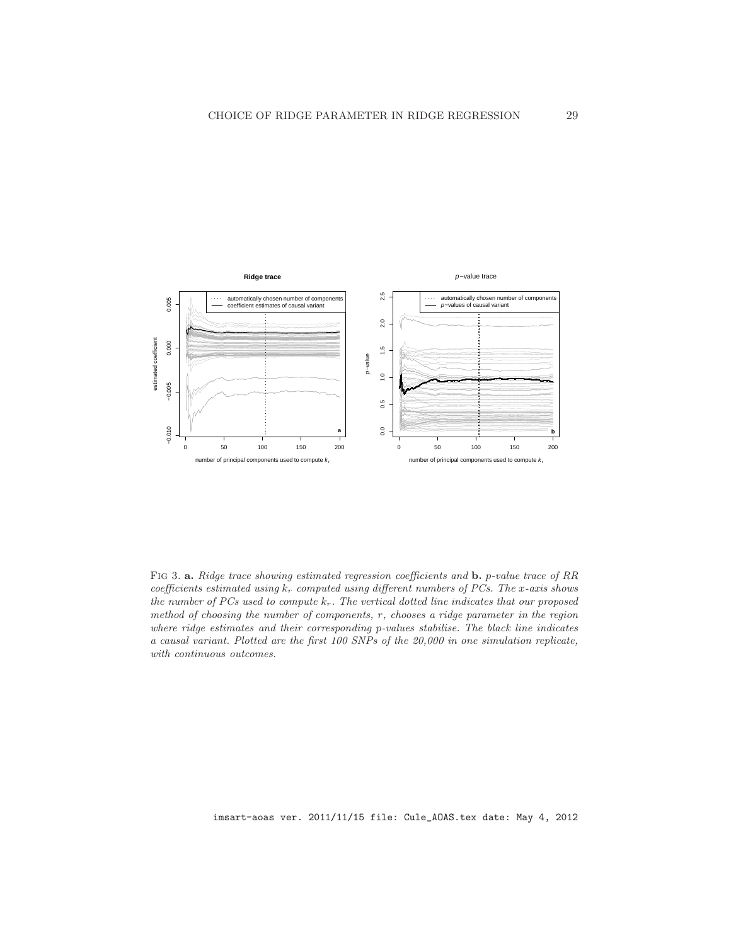

<span id="page-28-0"></span>FIG 3. a. Ridge trace showing estimated regression coefficients and b. p-value trace of RR coefficients estimated using  $k_r$  computed using different numbers of PCs. The x-axis shows the number of PCs used to compute  $k_r$ . The vertical dotted line indicates that our proposed method of choosing the number of components, r, chooses a ridge parameter in the region where ridge estimates and their corresponding p-values stabilise. The black line indicates a causal variant. Plotted are the first 100 SNPs of the 20,000 in one simulation replicate, with continuous outcomes.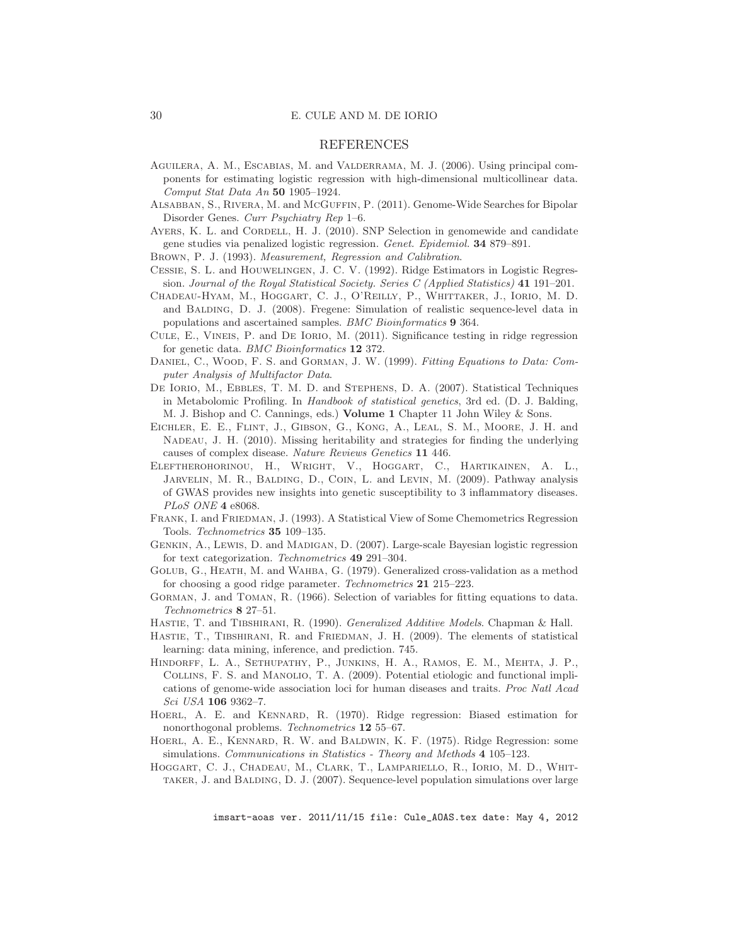#### REFERENCES

- <span id="page-29-15"></span>Aguilera, A. M., Escabias, M. and Valderrama, M. J. (2006). Using principal components for estimating logistic regression with high-dimensional multicollinear data. Comput Stat Data An 50 1905–1924.
- <span id="page-29-19"></span>Alsabban, S., Rivera, M. and McGuffin, P. (2011). Genome-Wide Searches for Bipolar Disorder Genes. Curr Psychiatry Rep 1–6.
- <span id="page-29-4"></span>AYERS, K. L. and CORDELL, H. J. (2010). SNP Selection in genomewide and candidate gene studies via penalized logistic regression. Genet. Epidemiol. 34 879–891.
- <span id="page-29-11"></span>BROWN, P. J. (1993). Measurement, Regression and Calibration.
- <span id="page-29-5"></span>Cessie, S. L. and Houwelingen, J. C. V. (1992). Ridge Estimators in Logistic Regression. Journal of the Royal Statistical Society. Series C (Applied Statistics) 41 191–201.
- <span id="page-29-17"></span>Chadeau-Hyam, M., Hoggart, C. J., O'Reilly, P., Whittaker, J., Iorio, M. D. and BALDING, D. J. (2008). Fregene: Simulation of realistic sequence-level data in populations and ascertained samples. BMC Bioinformatics 9 364.
- <span id="page-29-6"></span>Cule, E., Vineis, P. and De Iorio, M. (2011). Significance testing in ridge regression for genetic data. BMC Bioinformatics 12 372.
- <span id="page-29-13"></span>DANIEL, C., WOOD, F. S. and GORMAN, J. W. (1999). Fitting Equations to Data: Computer Analysis of Multifactor Data.
- <span id="page-29-14"></span>De Iorio, M., Ebbles, T. M. D. and Stephens, D. A. (2007). Statistical Techniques in Metabolomic Profiling. In Handbook of statistical genetics, 3rd ed. (D. J. Balding, M. J. Bishop and C. Cannings, eds.) Volume 1 Chapter 11 John Wiley & Sons.
- <span id="page-29-3"></span>Eichler, E. E., Flint, J., Gibson, G., Kong, A., Leal, S. M., Moore, J. H. and Nadeau, J. H. (2010). Missing heritability and strategies for finding the underlying causes of complex disease. Nature Reviews Genetics 11 446.
- <span id="page-29-18"></span>Eleftherohorinou, H., Wright, V., Hoggart, C., Hartikainen, A. L., JARVELIN, M. R., BALDING, D., COIN, L. and LEVIN, M. (2009). Pathway analysis of GWAS provides new insights into genetic susceptibility to 3 inflammatory diseases. PLoS ONE 4 e8068.
- <span id="page-29-1"></span>FRANK, I. and FRIEDMAN, J. (1993). A Statistical View of Some Chemometrics Regression Tools. Technometrics 35 109–135.
- <span id="page-29-20"></span>Genkin, A., Lewis, D. and Madigan, D. (2007). Large-scale Bayesian logistic regression for text categorization. Technometrics 49 291–304.
- <span id="page-29-8"></span>Golub, G., Heath, M. and Wahba, G. (1979). Generalized cross-validation as a method for choosing a good ridge parameter. Technometrics 21 215–223.
- <span id="page-29-12"></span>Gorman, J. and Toman, R. (1966). Selection of variables for fitting equations to data. Technometrics 8 27–51.
- <span id="page-29-10"></span>HASTIE, T. and TIBSHIRANI, R. (1990). Generalized Additive Models. Chapman & Hall.
- <span id="page-29-9"></span>HASTIE, T., TIBSHIRANI, R. and FRIEDMAN, J. H. (2009). The elements of statistical learning: data mining, inference, and prediction. 745.
- <span id="page-29-2"></span>Hindorff, L. A., Sethupathy, P., Junkins, H. A., Ramos, E. M., Mehta, J. P., Collins, F. S. and Manolio, T. A. (2009). Potential etiologic and functional implications of genome-wide association loci for human diseases and traits. Proc Natl Acad Sci USA 106 9362–7.
- <span id="page-29-0"></span>Hoerl, A. E. and Kennard, R. (1970). Ridge regression: Biased estimation for nonorthogonal problems. Technometrics 12 55–67.
- <span id="page-29-7"></span>Hoerl, A. E., Kennard, R. W. and Baldwin, K. F. (1975). Ridge Regression: some simulations. Communications in Statistics - Theory and Methods 4 105–123.
- <span id="page-29-16"></span>Hoggart, C. J., Chadeau, M., Clark, T., Lampariello, R., Iorio, M. D., Whittaker, J. and Balding, D. J. (2007). Sequence-level population simulations over large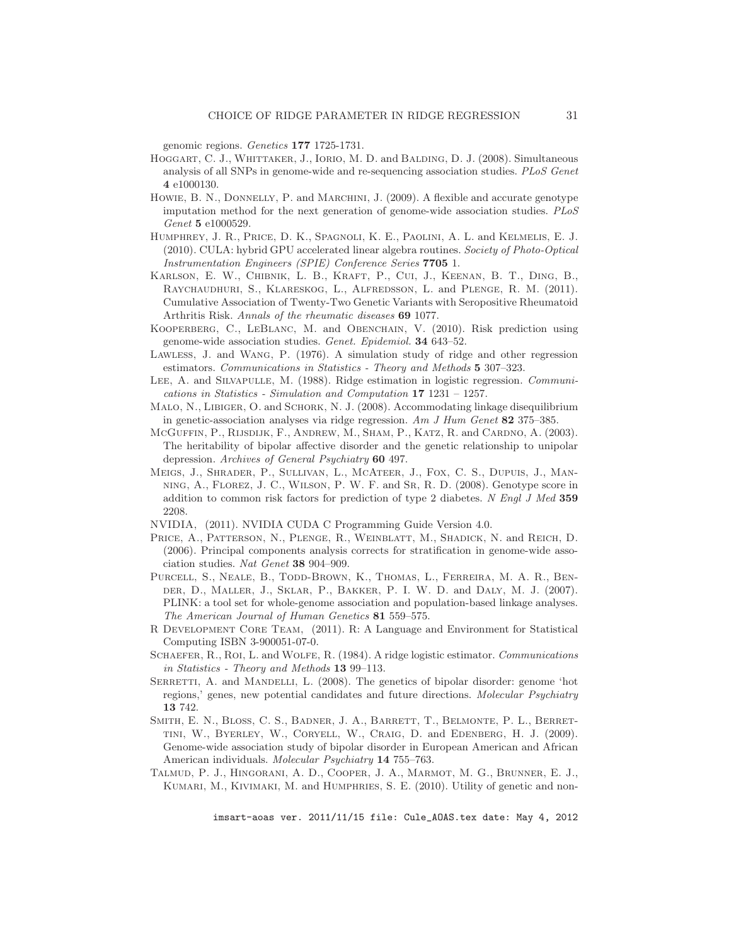genomic regions. Genetics 177 1725-1731.

- <span id="page-30-3"></span>HOGGART, C. J., WHITTAKER, J., IORIO, M. D. and BALDING, D. J. (2008). Simultaneous analysis of all SNPs in genome-wide and re-sequencing association studies. PLoS Genet 4 e1000130.
- <span id="page-30-12"></span>HOWIE, B. N., DONNELLY, P. and MARCHINI, J. (2009). A flexible and accurate genotype imputation method for the next generation of genome-wide association studies. PLoS Genet 5 e1000529.
- <span id="page-30-16"></span>Humphrey, J. R., Price, D. K., Spagnoli, K. E., Paolini, A. L. and Kelmelis, E. J. (2010). CULA: hybrid GPU accelerated linear algebra routines. Society of Photo-Optical Instrumentation Engineers (SPIE) Conference Series 7705 1.
- <span id="page-30-1"></span>Karlson, E. W., Chibnik, L. B., Kraft, P., Cui, J., Keenan, B. T., Ding, B., Raychaudhuri, S., Klareskog, L., Alfredsson, L. and Plenge, R. M. (2011). Cumulative Association of Twenty-Two Genetic Variants with Seropositive Rheumatoid Arthritis Risk. Annals of the rheumatic diseases 69 1077.
- <span id="page-30-4"></span>Kooperberg, C., LeBlanc, M. and Obenchain, V. (2010). Risk prediction using genome-wide association studies. Genet. Epidemiol. 34 643–52.
- <span id="page-30-7"></span>Lawless, J. and Wang, P. (1976). A simulation study of ridge and other regression estimators. Communications in Statistics - Theory and Methods 5 307–323.
- <span id="page-30-5"></span>LEE, A. and SILVAPULLE, M. (1988). Ridge estimation in logistic regression. Communications in Statistics - Simulation and Computation 17 1231 – 1257.
- <span id="page-30-6"></span>MALO, N., LIBIGER, O. and SCHORK, N. J. (2008). Accommodating linkage disequilibrium in genetic-association analyses via ridge regression. Am J Hum Genet  $82\,375-385$ .
- <span id="page-30-10"></span>McGuffin, P., Rijsdijk, F., Andrew, M., Sham, P., Katz, R. and Cardno, A. (2003). The heritability of bipolar affective disorder and the genetic relationship to unipolar depression. Archives of General Psychiatry 60 497.
- <span id="page-30-0"></span>Meigs, J., Shrader, P., Sullivan, L., McAteer, J., Fox, C. S., Dupuis, J., Manning, A., Florez, J. C., Wilson, P. W. F. and Sr, R. D. (2008). Genotype score in addition to common risk factors for prediction of type 2 diabetes. N Engl J Med 359 2208.
- <span id="page-30-15"></span>NVIDIA, (2011). NVIDIA CUDA C Programming Guide Version 4.0.
- <span id="page-30-13"></span>PRICE, A., PATTERSON, N., PLENGE, R., WEINBLATT, M., SHADICK, N. and REICH, D. (2006). Principal components analysis corrects for stratification in genome-wide association studies. Nat Genet 38 904–909.
- <span id="page-30-14"></span>PURCELL, S., NEALE, B., TODD-BROWN, K., THOMAS, L., FERREIRA, M. A. R., BENder, D., Maller, J., Sklar, P., Bakker, P. I. W. D. and Daly, M. J. (2007). PLINK: a tool set for whole-genome association and population-based linkage analyses. The American Journal of Human Genetics 81 559–575.
- <span id="page-30-17"></span>R Development Core Team, (2011). R: A Language and Environment for Statistical Computing ISBN 3-900051-07-0.
- <span id="page-30-9"></span>SCHAEFER, R., ROI, L. and WOLFE, R. (1984). A ridge logistic estimator. Communications in Statistics - Theory and Methods 13 99–113.
- <span id="page-30-11"></span>SERRETTI, A. and MANDELLI, L. (2008). The genetics of bipolar disorder: genome 'hot regions,' genes, new potential candidates and future directions. Molecular Psychiatry 13 742.
- <span id="page-30-8"></span>Smith, E. N., Bloss, C. S., Badner, J. A., Barrett, T., Belmonte, P. L., Berrettini, W., Byerley, W., Coryell, W., Craig, D. and Edenberg, H. J. (2009). Genome-wide association study of bipolar disorder in European American and African American individuals. Molecular Psychiatry 14 755–763.
- <span id="page-30-2"></span>Talmud, P. J., Hingorani, A. D., Cooper, J. A., Marmot, M. G., Brunner, E. J., KUMARI, M., KIVIMAKI, M. and HUMPHRIES, S. E. (2010). Utility of genetic and non-